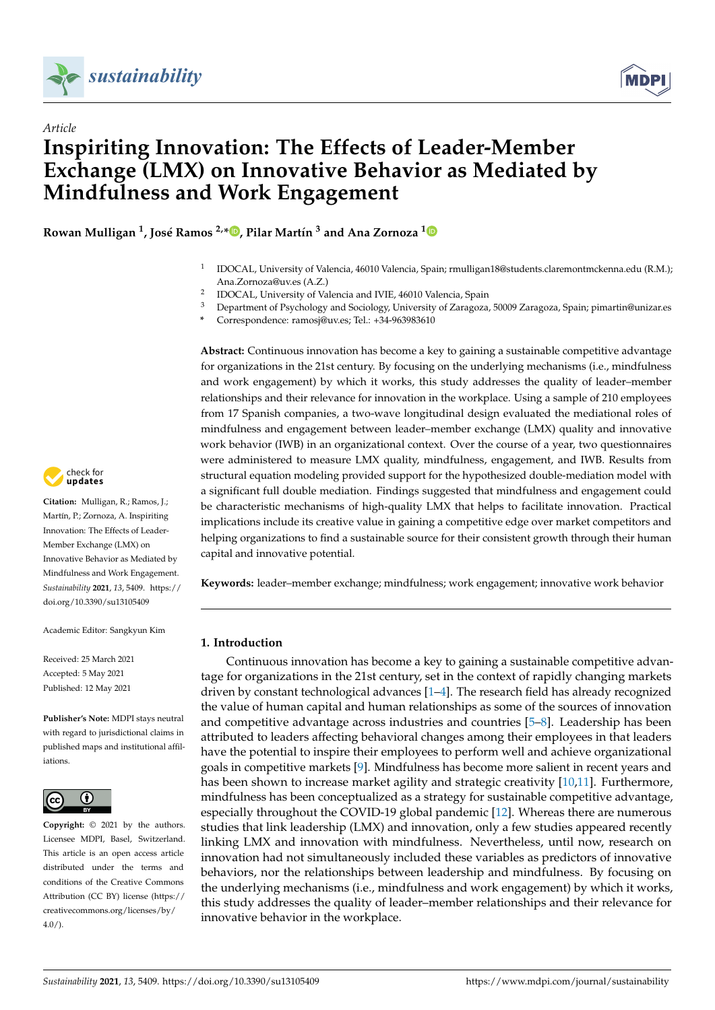

*Article*



# **Inspiriting Innovation: The Effects of Leader-Member Exchange (LMX) on Innovative Behavior as Mediated by Mindfulness and Work Engagement**

**Rowan Mulligan <sup>1</sup> , José Ramos 2,\* [,](https://orcid.org/0000-0003-0821-214X) Pilar Martín <sup>3</sup> and Ana Zornoza [1](https://orcid.org/0000-0002-9407-0821)**

- 1 IDOCAL, University of Valencia, 46010 Valencia, Spain; rmulligan18@students.claremontmckenna.edu (R.M.); Ana.Zornoza@uv.es (A.Z.)
- $\overline{2}$ IDOCAL, University of Valencia and IVIE, 46010 Valencia, Spain
- <sup>3</sup> Department of Psychology and Sociology, University of Zaragoza, 50009 Zaragoza, Spain; pimartin@unizar.es
	- **\*** Correspondence: ramosj@uv.es; Tel.: +34-963983610

**Abstract:** Continuous innovation has become a key to gaining a sustainable competitive advantage for organizations in the 21st century. By focusing on the underlying mechanisms (i.e., mindfulness and work engagement) by which it works, this study addresses the quality of leader–member relationships and their relevance for innovation in the workplace. Using a sample of 210 employees from 17 Spanish companies, a two-wave longitudinal design evaluated the mediational roles of mindfulness and engagement between leader–member exchange (LMX) quality and innovative work behavior (IWB) in an organizational context. Over the course of a year, two questionnaires were administered to measure LMX quality, mindfulness, engagement, and IWB. Results from structural equation modeling provided support for the hypothesized double-mediation model with a significant full double mediation. Findings suggested that mindfulness and engagement could be characteristic mechanisms of high-quality LMX that helps to facilitate innovation. Practical implications include its creative value in gaining a competitive edge over market competitors and helping organizations to find a sustainable source for their consistent growth through their human capital and innovative potential.

**Keywords:** leader–member exchange; mindfulness; work engagement; innovative work behavior

# **1. Introduction**

Continuous innovation has become a key to gaining a sustainable competitive advantage for organizations in the 21st century, set in the context of rapidly changing markets driven by constant technological advances [\[1–](#page-13-0)[4\]](#page-13-1). The research field has already recognized the value of human capital and human relationships as some of the sources of innovation and competitive advantage across industries and countries [\[5–](#page-13-2)[8\]](#page-13-3). Leadership has been attributed to leaders affecting behavioral changes among their employees in that leaders have the potential to inspire their employees to perform well and achieve organizational goals in competitive markets [\[9\]](#page-13-4). Mindfulness has become more salient in recent years and has been shown to increase market agility and strategic creativity [\[10](#page-13-5)[,11\]](#page-13-6). Furthermore, mindfulness has been conceptualized as a strategy for sustainable competitive advantage, especially throughout the COVID-19 global pandemic [\[12\]](#page-13-7). Whereas there are numerous studies that link leadership (LMX) and innovation, only a few studies appeared recently linking LMX and innovation with mindfulness. Nevertheless, until now, research on innovation had not simultaneously included these variables as predictors of innovative behaviors, nor the relationships between leadership and mindfulness. By focusing on the underlying mechanisms (i.e., mindfulness and work engagement) by which it works, this study addresses the quality of leader–member relationships and their relevance for innovative behavior in the workplace.



**Citation:** Mulligan, R.; Ramos, J.; Martín, P.; Zornoza, A. Inspiriting Innovation: The Effects of Leader-Member Exchange (LMX) on Innovative Behavior as Mediated by Mindfulness and Work Engagement. *Sustainability* **2021**, *13*, 5409. [https://](https://doi.org/10.3390/su13105409) [doi.org/10.3390/su13105409](https://doi.org/10.3390/su13105409)

Academic Editor: Sangkyun Kim

Received: 25 March 2021 Accepted: 5 May 2021 Published: 12 May 2021

**Publisher's Note:** MDPI stays neutral with regard to jurisdictional claims in published maps and institutional affiliations.



**Copyright:** © 2021 by the authors. Licensee MDPI, Basel, Switzerland. This article is an open access article distributed under the terms and conditions of the Creative Commons Attribution (CC BY) license (https:/[/](https://creativecommons.org/licenses/by/4.0/) [creativecommons.org/licenses/by/](https://creativecommons.org/licenses/by/4.0/)  $4.0/$ ).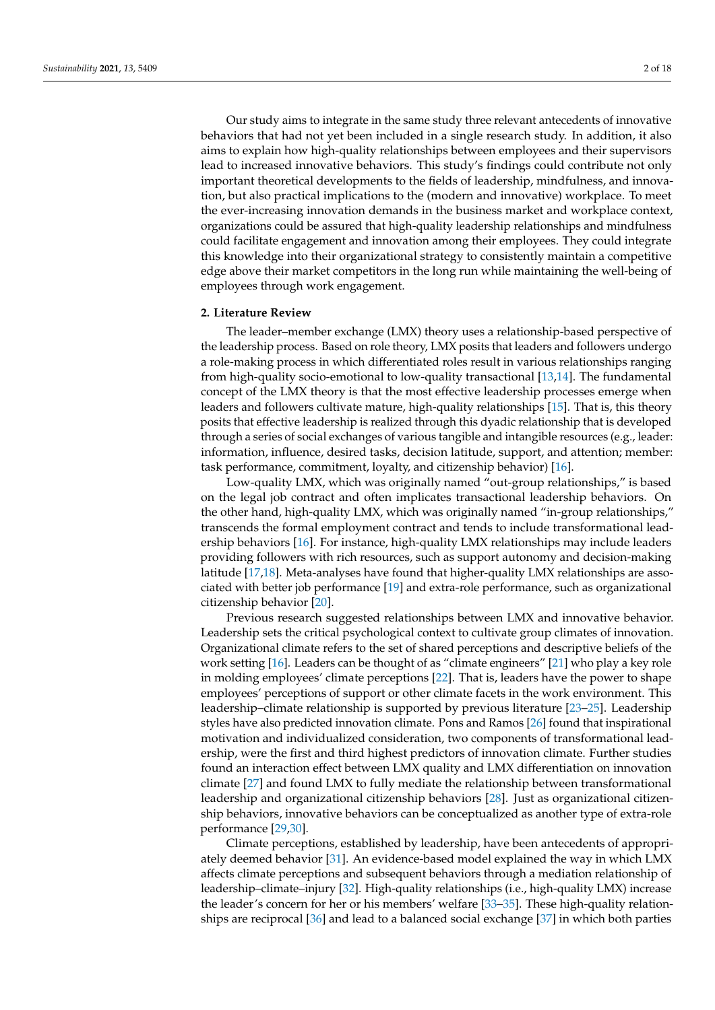Our study aims to integrate in the same study three relevant antecedents of innovative behaviors that had not yet been included in a single research study. In addition, it also aims to explain how high-quality relationships between employees and their supervisors lead to increased innovative behaviors. This study's findings could contribute not only important theoretical developments to the fields of leadership, mindfulness, and innovation, but also practical implications to the (modern and innovative) workplace. To meet the ever-increasing innovation demands in the business market and workplace context, organizations could be assured that high-quality leadership relationships and mindfulness could facilitate engagement and innovation among their employees. They could integrate this knowledge into their organizational strategy to consistently maintain a competitive edge above their market competitors in the long run while maintaining the well-being of employees through work engagement.

# **2. Literature Review**

The leader–member exchange (LMX) theory uses a relationship-based perspective of the leadership process. Based on role theory, LMX posits that leaders and followers undergo a role-making process in which differentiated roles result in various relationships ranging from high-quality socio-emotional to low-quality transactional [\[13,](#page-13-8)[14\]](#page-13-9). The fundamental concept of the LMX theory is that the most effective leadership processes emerge when leaders and followers cultivate mature, high-quality relationships [\[15\]](#page-13-10). That is, this theory posits that effective leadership is realized through this dyadic relationship that is developed through a series of social exchanges of various tangible and intangible resources (e.g., leader: information, influence, desired tasks, decision latitude, support, and attention; member: task performance, commitment, loyalty, and citizenship behavior) [\[16\]](#page-13-11).

Low-quality LMX, which was originally named "out-group relationships," is based on the legal job contract and often implicates transactional leadership behaviors. On the other hand, high-quality LMX, which was originally named "in-group relationships," transcends the formal employment contract and tends to include transformational leadership behaviors [\[16\]](#page-13-11). For instance, high-quality LMX relationships may include leaders providing followers with rich resources, such as support autonomy and decision-making latitude [\[17](#page-13-12)[,18\]](#page-14-0). Meta-analyses have found that higher-quality LMX relationships are associated with better job performance [\[19\]](#page-14-1) and extra-role performance, such as organizational citizenship behavior [\[20\]](#page-14-2).

Previous research suggested relationships between LMX and innovative behavior. Leadership sets the critical psychological context to cultivate group climates of innovation. Organizational climate refers to the set of shared perceptions and descriptive beliefs of the work setting [\[16\]](#page-13-11). Leaders can be thought of as "climate engineers" [\[21\]](#page-14-3) who play a key role in molding employees' climate perceptions [\[22\]](#page-14-4). That is, leaders have the power to shape employees' perceptions of support or other climate facets in the work environment. This leadership–climate relationship is supported by previous literature [\[23](#page-14-5)[–25\]](#page-14-6). Leadership styles have also predicted innovation climate. Pons and Ramos [\[26\]](#page-14-7) found that inspirational motivation and individualized consideration, two components of transformational leadership, were the first and third highest predictors of innovation climate. Further studies found an interaction effect between LMX quality and LMX differentiation on innovation climate [\[27\]](#page-14-8) and found LMX to fully mediate the relationship between transformational leadership and organizational citizenship behaviors [\[28\]](#page-14-9). Just as organizational citizenship behaviors, innovative behaviors can be conceptualized as another type of extra-role performance [\[29](#page-14-10)[,30\]](#page-14-11).

Climate perceptions, established by leadership, have been antecedents of appropriately deemed behavior [\[31\]](#page-14-12). An evidence-based model explained the way in which LMX affects climate perceptions and subsequent behaviors through a mediation relationship of leadership–climate–injury [\[32\]](#page-14-13). High-quality relationships (i.e., high-quality LMX) increase the leader's concern for her or his members' welfare [\[33–](#page-14-14)[35\]](#page-14-15). These high-quality relationships are reciprocal [\[36\]](#page-14-16) and lead to a balanced social exchange [\[37\]](#page-14-17) in which both parties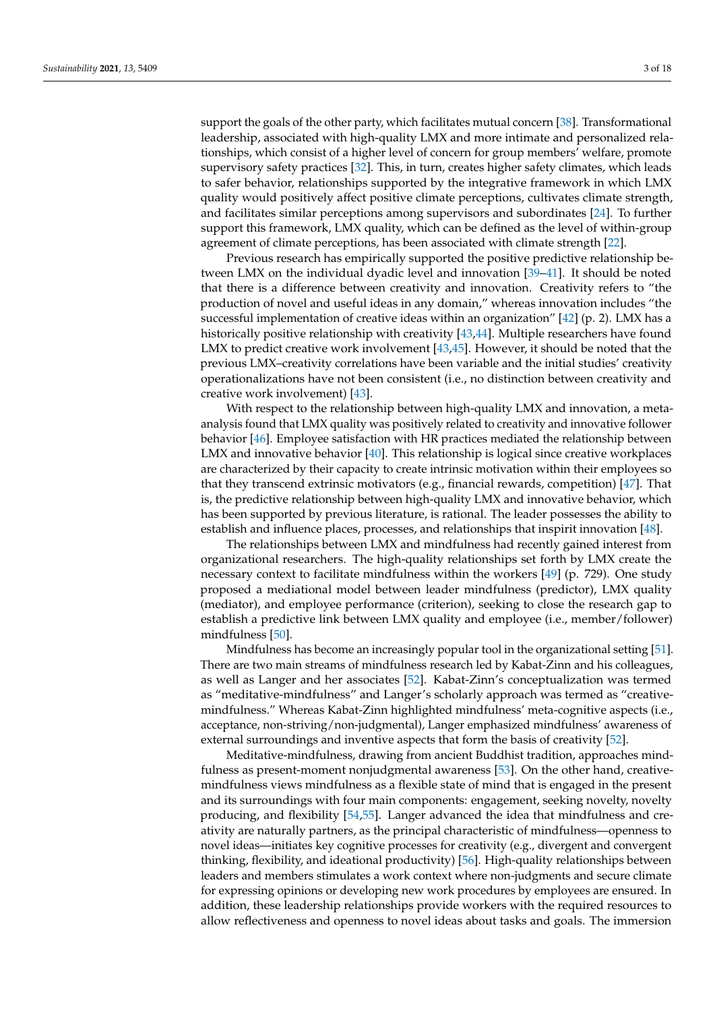support the goals of the other party, which facilitates mutual concern [\[38\]](#page-14-18). Transformational leadership, associated with high-quality LMX and more intimate and personalized relationships, which consist of a higher level of concern for group members' welfare, promote supervisory safety practices [\[32\]](#page-14-13). This, in turn, creates higher safety climates, which leads to safer behavior, relationships supported by the integrative framework in which LMX quality would positively affect positive climate perceptions, cultivates climate strength, and facilitates similar perceptions among supervisors and subordinates [\[24\]](#page-14-19). To further support this framework, LMX quality, which can be defined as the level of within-group agreement of climate perceptions, has been associated with climate strength [\[22\]](#page-14-4).

Previous research has empirically supported the positive predictive relationship between LMX on the individual dyadic level and innovation [\[39–](#page-14-20)[41\]](#page-14-21). It should be noted that there is a difference between creativity and innovation. Creativity refers to "the production of novel and useful ideas in any domain," whereas innovation includes "the successful implementation of creative ideas within an organization"  $[42]$  (p. 2). LMX has a historically positive relationship with creativity [\[43,](#page-14-23)[44\]](#page-14-24). Multiple researchers have found LMX to predict creative work involvement [\[43,](#page-14-23)[45\]](#page-14-25). However, it should be noted that the previous LMX–creativity correlations have been variable and the initial studies' creativity operationalizations have not been consistent (i.e., no distinction between creativity and creative work involvement) [\[43\]](#page-14-23).

With respect to the relationship between high-quality LMX and innovation, a metaanalysis found that LMX quality was positively related to creativity and innovative follower behavior [\[46\]](#page-14-26). Employee satisfaction with HR practices mediated the relationship between LMX and innovative behavior [\[40\]](#page-14-27). This relationship is logical since creative workplaces are characterized by their capacity to create intrinsic motivation within their employees so that they transcend extrinsic motivators (e.g., financial rewards, competition) [\[47\]](#page-14-28). That is, the predictive relationship between high-quality LMX and innovative behavior, which has been supported by previous literature, is rational. The leader possesses the ability to establish and influence places, processes, and relationships that inspirit innovation [\[48\]](#page-14-29).

The relationships between LMX and mindfulness had recently gained interest from organizational researchers. The high-quality relationships set forth by LMX create the necessary context to facilitate mindfulness within the workers [\[49\]](#page-15-0) (p. 729). One study proposed a mediational model between leader mindfulness (predictor), LMX quality (mediator), and employee performance (criterion), seeking to close the research gap to establish a predictive link between LMX quality and employee (i.e., member/follower) mindfulness [\[50\]](#page-15-1).

Mindfulness has become an increasingly popular tool in the organizational setting [\[51\]](#page-15-2). There are two main streams of mindfulness research led by Kabat-Zinn and his colleagues, as well as Langer and her associates [\[52\]](#page-15-3). Kabat-Zinn's conceptualization was termed as "meditative-mindfulness" and Langer's scholarly approach was termed as "creativemindfulness." Whereas Kabat-Zinn highlighted mindfulness' meta-cognitive aspects (i.e., acceptance, non-striving/non-judgmental), Langer emphasized mindfulness' awareness of external surroundings and inventive aspects that form the basis of creativity [\[52\]](#page-15-3).

Meditative-mindfulness, drawing from ancient Buddhist tradition, approaches mindfulness as present-moment nonjudgmental awareness [\[53\]](#page-15-4). On the other hand, creativemindfulness views mindfulness as a flexible state of mind that is engaged in the present and its surroundings with four main components: engagement, seeking novelty, novelty producing, and flexibility [\[54](#page-15-5)[,55\]](#page-15-6). Langer advanced the idea that mindfulness and creativity are naturally partners, as the principal characteristic of mindfulness—openness to novel ideas—initiates key cognitive processes for creativity (e.g., divergent and convergent thinking, flexibility, and ideational productivity) [\[56\]](#page-15-7). High-quality relationships between leaders and members stimulates a work context where non-judgments and secure climate for expressing opinions or developing new work procedures by employees are ensured. In addition, these leadership relationships provide workers with the required resources to allow reflectiveness and openness to novel ideas about tasks and goals. The immersion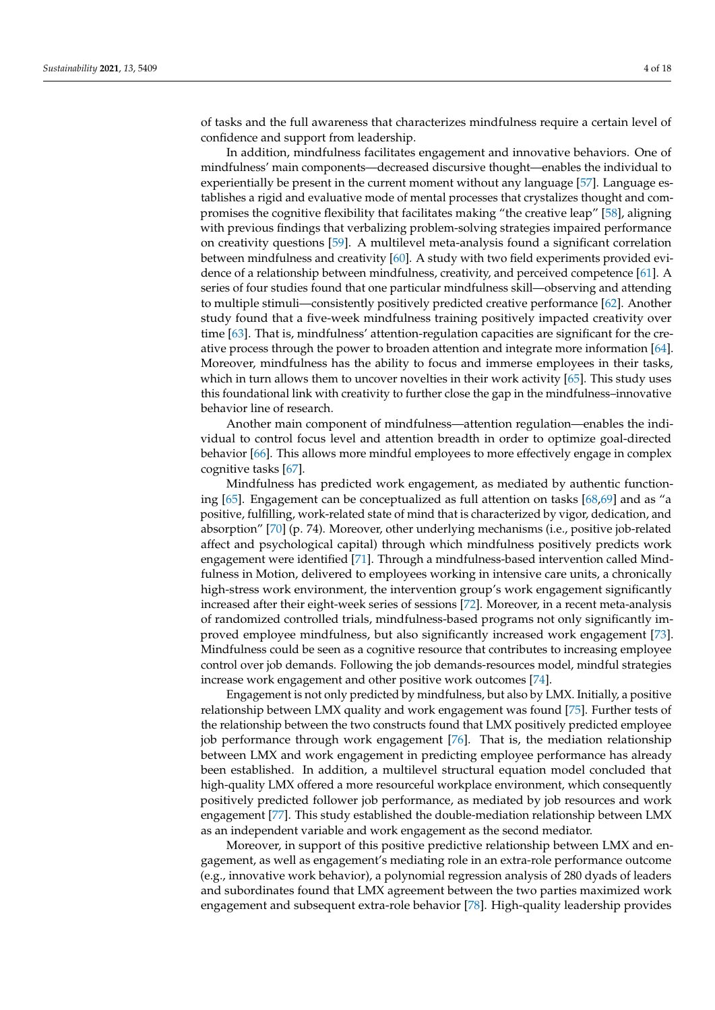of tasks and the full awareness that characterizes mindfulness require a certain level of confidence and support from leadership.

In addition, mindfulness facilitates engagement and innovative behaviors. One of mindfulness' main components—decreased discursive thought—enables the individual to experientially be present in the current moment without any language [\[57\]](#page-15-8). Language establishes a rigid and evaluative mode of mental processes that crystalizes thought and compromises the cognitive flexibility that facilitates making "the creative leap" [\[58\]](#page-15-9), aligning with previous findings that verbalizing problem-solving strategies impaired performance on creativity questions [\[59\]](#page-15-10). A multilevel meta-analysis found a significant correlation between mindfulness and creativity [\[60\]](#page-15-11). A study with two field experiments provided evidence of a relationship between mindfulness, creativity, and perceived competence [\[61\]](#page-15-12). A series of four studies found that one particular mindfulness skill—observing and attending to multiple stimuli—consistently positively predicted creative performance [\[62\]](#page-15-13). Another study found that a five-week mindfulness training positively impacted creativity over time [\[63\]](#page-15-14). That is, mindfulness' attention-regulation capacities are significant for the creative process through the power to broaden attention and integrate more information [\[64\]](#page-15-15). Moreover, mindfulness has the ability to focus and immerse employees in their tasks, which in turn allows them to uncover novelties in their work activity [\[65\]](#page-15-16). This study uses this foundational link with creativity to further close the gap in the mindfulness–innovative behavior line of research.

Another main component of mindfulness—attention regulation—enables the individual to control focus level and attention breadth in order to optimize goal-directed behavior [\[66\]](#page-15-17). This allows more mindful employees to more effectively engage in complex cognitive tasks [\[67\]](#page-15-18).

Mindfulness has predicted work engagement, as mediated by authentic functioning [\[65\]](#page-15-16). Engagement can be conceptualized as full attention on tasks [\[68](#page-15-19)[,69\]](#page-15-20) and as "a positive, fulfilling, work-related state of mind that is characterized by vigor, dedication, and absorption" [\[70\]](#page-15-21) (p. 74). Moreover, other underlying mechanisms (i.e., positive job-related affect and psychological capital) through which mindfulness positively predicts work engagement were identified [\[71\]](#page-15-22). Through a mindfulness-based intervention called Mindfulness in Motion, delivered to employees working in intensive care units, a chronically high-stress work environment, the intervention group's work engagement significantly increased after their eight-week series of sessions [\[72\]](#page-15-23). Moreover, in a recent meta-analysis of randomized controlled trials, mindfulness-based programs not only significantly improved employee mindfulness, but also significantly increased work engagement [\[73\]](#page-15-24). Mindfulness could be seen as a cognitive resource that contributes to increasing employee control over job demands. Following the job demands-resources model, mindful strategies increase work engagement and other positive work outcomes [\[74\]](#page-15-25).

Engagement is not only predicted by mindfulness, but also by LMX. Initially, a positive relationship between LMX quality and work engagement was found [\[75\]](#page-15-26). Further tests of the relationship between the two constructs found that LMX positively predicted employee job performance through work engagement [\[76\]](#page-15-27). That is, the mediation relationship between LMX and work engagement in predicting employee performance has already been established. In addition, a multilevel structural equation model concluded that high-quality LMX offered a more resourceful workplace environment, which consequently positively predicted follower job performance, as mediated by job resources and work engagement [\[77\]](#page-15-28). This study established the double-mediation relationship between LMX as an independent variable and work engagement as the second mediator.

Moreover, in support of this positive predictive relationship between LMX and engagement, as well as engagement's mediating role in an extra-role performance outcome (e.g., innovative work behavior), a polynomial regression analysis of 280 dyads of leaders and subordinates found that LMX agreement between the two parties maximized work engagement and subsequent extra-role behavior [\[78\]](#page-15-29). High-quality leadership provides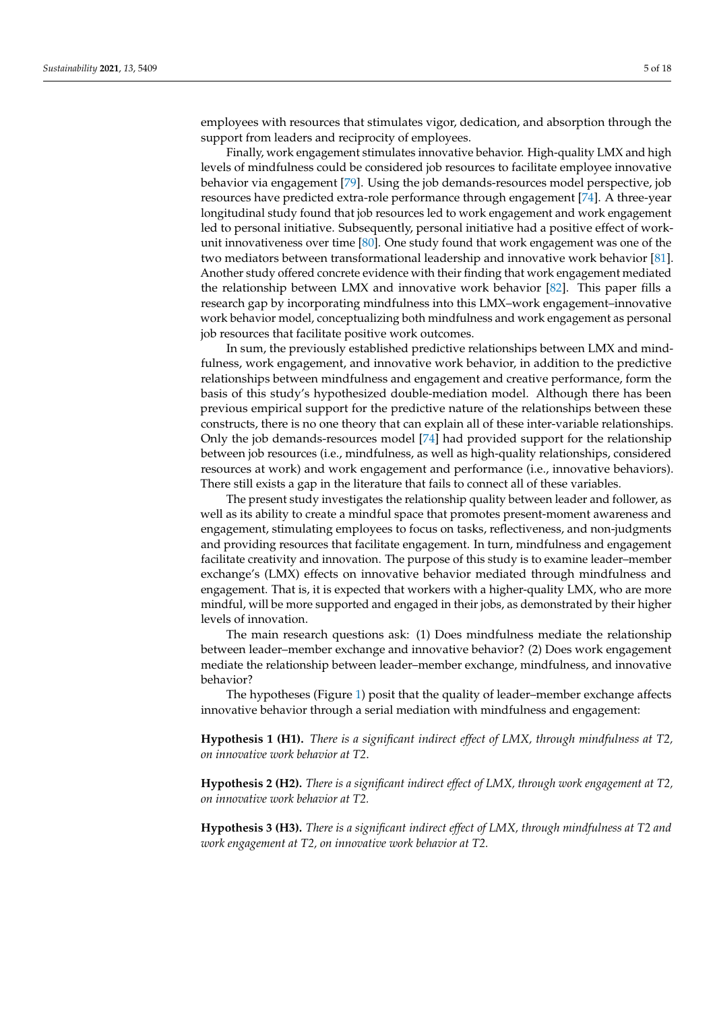employees with resources that stimulates vigor, dedication, and absorption through the support from leaders and reciprocity of employees.

Finally, work engagement stimulates innovative behavior. High-quality LMX and high levels of mindfulness could be considered job resources to facilitate employee innovative behavior via engagement [\[79\]](#page-15-30). Using the job demands-resources model perspective, job resources have predicted extra-role performance through engagement [\[74\]](#page-15-25). A three-year longitudinal study found that job resources led to work engagement and work engagement led to personal initiative. Subsequently, personal initiative had a positive effect of workunit innovativeness over time [\[80\]](#page-15-31). One study found that work engagement was one of the two mediators between transformational leadership and innovative work behavior [\[81\]](#page-16-0). Another study offered concrete evidence with their finding that work engagement mediated the relationship between LMX and innovative work behavior [\[82\]](#page-16-1). This paper fills a research gap by incorporating mindfulness into this LMX–work engagement–innovative work behavior model, conceptualizing both mindfulness and work engagement as personal job resources that facilitate positive work outcomes.

In sum, the previously established predictive relationships between LMX and mindfulness, work engagement, and innovative work behavior, in addition to the predictive relationships between mindfulness and engagement and creative performance, form the basis of this study's hypothesized double-mediation model. Although there has been previous empirical support for the predictive nature of the relationships between these constructs, there is no one theory that can explain all of these inter-variable relationships. Only the job demands-resources model [\[74\]](#page-15-25) had provided support for the relationship between job resources (i.e., mindfulness, as well as high-quality relationships, considered resources at work) and work engagement and performance (i.e., innovative behaviors). There still exists a gap in the literature that fails to connect all of these variables.

The present study investigates the relationship quality between leader and follower, as well as its ability to create a mindful space that promotes present-moment awareness and engagement, stimulating employees to focus on tasks, reflectiveness, and non-judgments and providing resources that facilitate engagement. In turn, mindfulness and engagement facilitate creativity and innovation. The purpose of this study is to examine leader–member exchange's (LMX) effects on innovative behavior mediated through mindfulness and engagement. That is, it is expected that workers with a higher-quality LMX, who are more mindful, will be more supported and engaged in their jobs, as demonstrated by their higher levels of innovation.

The main research questions ask: (1) Does mindfulness mediate the relationship between leader–member exchange and innovative behavior? (2) Does work engagement mediate the relationship between leader–member exchange, mindfulness, and innovative behavior?

The hypotheses (Figure [1\)](#page-5-0) posit that the quality of leader–member exchange affects innovative behavior through a serial mediation with mindfulness and engagement:

**Hypothesis 1 (H1).** *There is a significant indirect effect of LMX, through mindfulness at T2, on innovative work behavior at T2*.

**Hypothesis 2 (H2).** *There is a significant indirect effect of LMX, through work engagement at T2, on innovative work behavior at T2.*

**Hypothesis 3 (H3).** *There is a significant indirect effect of LMX, through mindfulness at T2 and work engagement at T2, on innovative work behavior at T2.*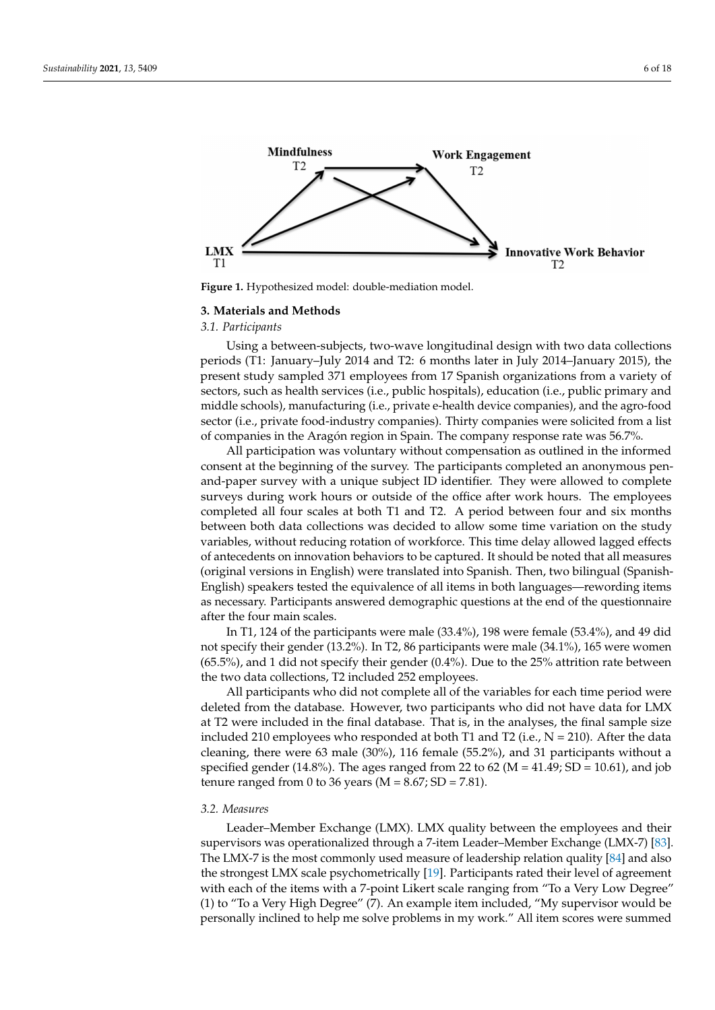<span id="page-5-0"></span>

**Figure 1.** Hypothesized model: double-mediation model.

#### **3. Materials and Methods**

### *3.1. Participants*

Using a between-subjects, two-wave longitudinal design with two data collections periods (T1: January–July 2014 and T2: 6 months later in July 2014–January 2015), the present study sampled 371 employees from 17 Spanish organizations from a variety of sectors, such as health services (i.e., public hospitals), education (i.e., public primary and middle schools), manufacturing (i.e., private e-health device companies), and the agro-food sector (i.e., private food-industry companies). Thirty companies were solicited from a list of companies in the Aragón region in Spain. The company response rate was 56.7%.

All participation was voluntary without compensation as outlined in the informed consent at the beginning of the survey. The participants completed an anonymous penand-paper survey with a unique subject ID identifier. They were allowed to complete surveys during work hours or outside of the office after work hours. The employees completed all four scales at both T1 and T2. A period between four and six months between both data collections was decided to allow some time variation on the study variables, without reducing rotation of workforce. This time delay allowed lagged effects of antecedents on innovation behaviors to be captured. It should be noted that all measures (original versions in English) were translated into Spanish. Then, two bilingual (Spanish-English) speakers tested the equivalence of all items in both languages—rewording items as necessary. Participants answered demographic questions at the end of the questionnaire after the four main scales.

In T1, 124 of the participants were male (33.4%), 198 were female (53.4%), and 49 did not specify their gender (13.2%). In T2, 86 participants were male (34.1%), 165 were women (65.5%), and 1 did not specify their gender (0.4%). Due to the 25% attrition rate between the two data collections, T2 included 252 employees.

All participants who did not complete all of the variables for each time period were deleted from the database. However, two participants who did not have data for LMX at T2 were included in the final database. That is, in the analyses, the final sample size included 210 employees who responded at both T1 and T2 (i.e.,  $N = 210$ ). After the data cleaning, there were 63 male (30%), 116 female (55.2%), and 31 participants without a specified gender (14.8%). The ages ranged from 22 to 62 ( $M = 41.49$ ; SD = 10.61), and job tenure ranged from 0 to 36 years ( $M = 8.67$ ; SD = 7.81).

## *3.2. Measures*

Leader–Member Exchange (LMX). LMX quality between the employees and their supervisors was operationalized through a 7-item Leader–Member Exchange (LMX-7) [\[83\]](#page-16-2). The LMX-7 is the most commonly used measure of leadership relation quality [\[84\]](#page-16-3) and also the strongest LMX scale psychometrically [\[19\]](#page-14-1). Participants rated their level of agreement with each of the items with a 7-point Likert scale ranging from "To a Very Low Degree" (1) to "To a Very High Degree" (7). An example item included, "My supervisor would be personally inclined to help me solve problems in my work." All item scores were summed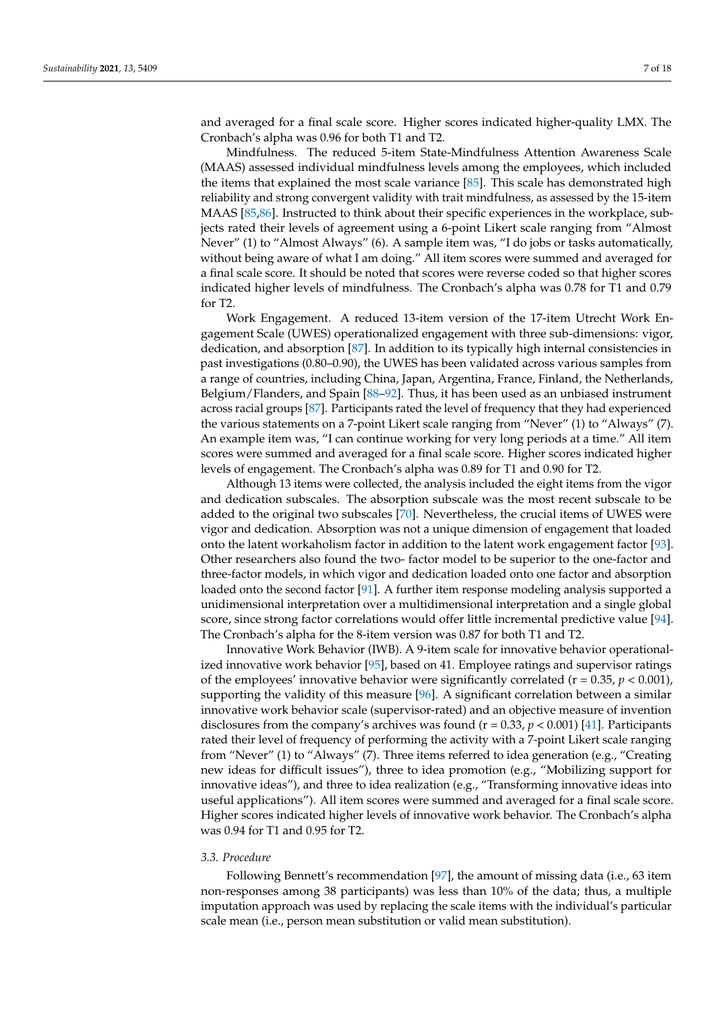and averaged for a final scale score. Higher scores indicated higher-quality LMX. The Cronbach's alpha was 0.96 for both T1 and T2.

Mindfulness. The reduced 5-item State-Mindfulness Attention Awareness Scale (MAAS) assessed individual mindfulness levels among the employees, which included the items that explained the most scale variance [\[85\]](#page-16-4). This scale has demonstrated high reliability and strong convergent validity with trait mindfulness, as assessed by the 15-item MAAS [\[85,](#page-16-4)[86\]](#page-16-5). Instructed to think about their specific experiences in the workplace, subjects rated their levels of agreement using a 6-point Likert scale ranging from "Almost Never" (1) to "Almost Always" (6). A sample item was, "I do jobs or tasks automatically, without being aware of what I am doing." All item scores were summed and averaged for a final scale score. It should be noted that scores were reverse coded so that higher scores indicated higher levels of mindfulness. The Cronbach's alpha was 0.78 for T1 and 0.79 for T2.

Work Engagement. A reduced 13-item version of the 17-item Utrecht Work Engagement Scale (UWES) operationalized engagement with three sub-dimensions: vigor, dedication, and absorption [\[87\]](#page-16-6). In addition to its typically high internal consistencies in past investigations (0.80–0.90), the UWES has been validated across various samples from a range of countries, including China, Japan, Argentina, France, Finland, the Netherlands, Belgium/Flanders, and Spain [\[88–](#page-16-7)[92\]](#page-16-8). Thus, it has been used as an unbiased instrument across racial groups [\[87\]](#page-16-6). Participants rated the level of frequency that they had experienced the various statements on a 7-point Likert scale ranging from "Never" (1) to "Always" (7). An example item was, "I can continue working for very long periods at a time." All item scores were summed and averaged for a final scale score. Higher scores indicated higher levels of engagement. The Cronbach's alpha was 0.89 for T1 and 0.90 for T2.

Although 13 items were collected, the analysis included the eight items from the vigor and dedication subscales. The absorption subscale was the most recent subscale to be added to the original two subscales [\[70\]](#page-15-21). Nevertheless, the crucial items of UWES were vigor and dedication. Absorption was not a unique dimension of engagement that loaded onto the latent workaholism factor in addition to the latent work engagement factor [\[93\]](#page-16-9). Other researchers also found the two- factor model to be superior to the one-factor and three-factor models, in which vigor and dedication loaded onto one factor and absorption loaded onto the second factor [\[91\]](#page-16-10). A further item response modeling analysis supported a unidimensional interpretation over a multidimensional interpretation and a single global score, since strong factor correlations would offer little incremental predictive value [\[94\]](#page-16-11). The Cronbach's alpha for the 8-item version was 0.87 for both T1 and T2.

Innovative Work Behavior (IWB). A 9-item scale for innovative behavior operationalized innovative work behavior [\[95\]](#page-16-12), based on 41. Employee ratings and supervisor ratings of the employees' innovative behavior were significantly correlated  $(r = 0.35, p < 0.001)$ , supporting the validity of this measure [\[96\]](#page-16-13). A significant correlation between a similar innovative work behavior scale (supervisor-rated) and an objective measure of invention disclosures from the company's archives was found (r = 0.33, p < 0.001) [\[41\]](#page-14-21). Participants rated their level of frequency of performing the activity with a 7-point Likert scale ranging from "Never" (1) to "Always" (7). Three items referred to idea generation (e.g., "Creating new ideas for difficult issues"), three to idea promotion (e.g., "Mobilizing support for innovative ideas"), and three to idea realization (e.g., "Transforming innovative ideas into useful applications"). All item scores were summed and averaged for a final scale score. Higher scores indicated higher levels of innovative work behavior. The Cronbach's alpha was 0.94 for T1 and 0.95 for T2.

# *3.3. Procedure*

Following Bennett's recommendation [\[97\]](#page-16-14), the amount of missing data (i.e., 63 item non-responses among 38 participants) was less than 10% of the data; thus, a multiple imputation approach was used by replacing the scale items with the individual's particular scale mean (i.e., person mean substitution or valid mean substitution).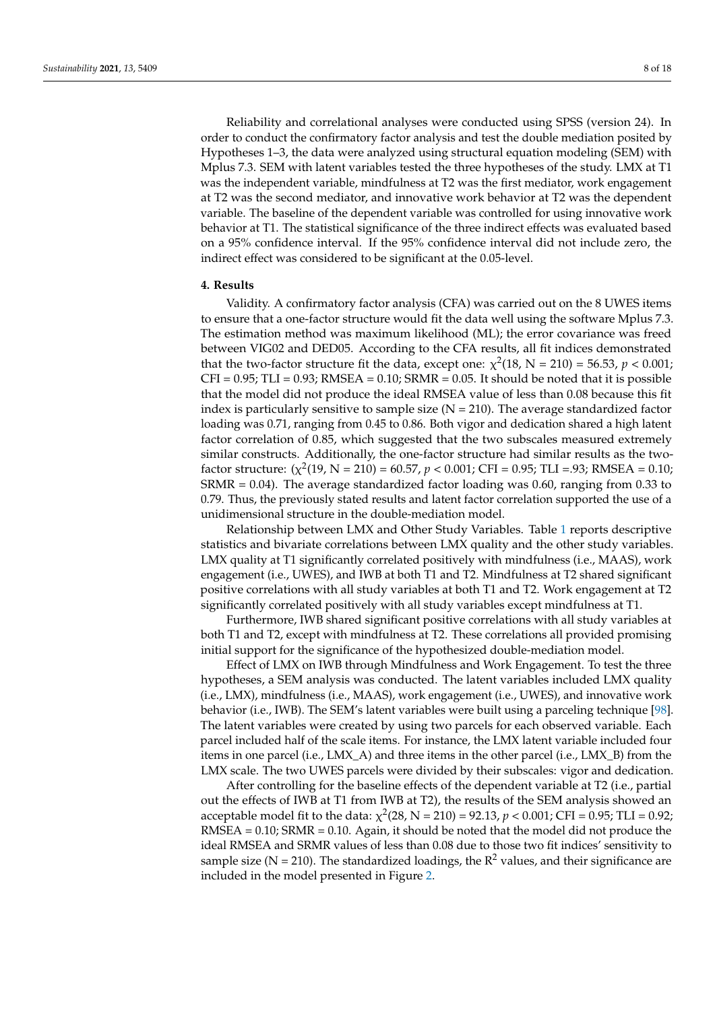Reliability and correlational analyses were conducted using SPSS (version 24). In order to conduct the confirmatory factor analysis and test the double mediation posited by Hypotheses 1–3, the data were analyzed using structural equation modeling (SEM) with Mplus 7.3. SEM with latent variables tested the three hypotheses of the study. LMX at T1 was the independent variable, mindfulness at T2 was the first mediator, work engagement at T2 was the second mediator, and innovative work behavior at T2 was the dependent variable. The baseline of the dependent variable was controlled for using innovative work behavior at T1. The statistical significance of the three indirect effects was evaluated based on a 95% confidence interval. If the 95% confidence interval did not include zero, the indirect effect was considered to be significant at the 0.05-level.

## **4. Results**

Validity. A confirmatory factor analysis (CFA) was carried out on the 8 UWES items to ensure that a one-factor structure would fit the data well using the software Mplus 7.3. The estimation method was maximum likelihood (ML); the error covariance was freed between VIG02 and DED05. According to the CFA results, all fit indices demonstrated that the two-factor structure fit the data, except one:  $\chi^2(18, N = 210) = 56.53, p < 0.001;$  $CFI = 0.95$ ; TLI = 0.93; RMSEA = 0.10; SRMR = 0.05. It should be noted that it is possible that the model did not produce the ideal RMSEA value of less than 0.08 because this fit index is particularly sensitive to sample size  $(N = 210)$ . The average standardized factor loading was 0.71, ranging from 0.45 to 0.86. Both vigor and dedication shared a high latent factor correlation of 0.85, which suggested that the two subscales measured extremely similar constructs. Additionally, the one-factor structure had similar results as the twofactor structure:  $(\chi^2(19, N = 210) = 60.57, p < 0.001$ ; CFI = 0.95; TLI = 93; RMSEA = 0.10; SRMR = 0.04). The average standardized factor loading was 0.60, ranging from 0.33 to 0.79. Thus, the previously stated results and latent factor correlation supported the use of a unidimensional structure in the double-mediation model.

Relationship between LMX and Other Study Variables. Table [1](#page-8-0) reports descriptive statistics and bivariate correlations between LMX quality and the other study variables. LMX quality at T1 significantly correlated positively with mindfulness (i.e., MAAS), work engagement (i.e., UWES), and IWB at both T1 and T2. Mindfulness at T2 shared significant positive correlations with all study variables at both T1 and T2. Work engagement at T2 significantly correlated positively with all study variables except mindfulness at T1.

Furthermore, IWB shared significant positive correlations with all study variables at both T1 and T2, except with mindfulness at T2. These correlations all provided promising initial support for the significance of the hypothesized double-mediation model.

Effect of LMX on IWB through Mindfulness and Work Engagement. To test the three hypotheses, a SEM analysis was conducted. The latent variables included LMX quality (i.e., LMX), mindfulness (i.e., MAAS), work engagement (i.e., UWES), and innovative work behavior (i.e., IWB). The SEM's latent variables were built using a parceling technique [\[98\]](#page-16-15). The latent variables were created by using two parcels for each observed variable. Each parcel included half of the scale items. For instance, the LMX latent variable included four items in one parcel (i.e., LMX\_A) and three items in the other parcel (i.e., LMX\_B) from the LMX scale. The two UWES parcels were divided by their subscales: vigor and dedication.

After controlling for the baseline effects of the dependent variable at T2 (i.e., partial out the effects of IWB at T1 from IWB at T2), the results of the SEM analysis showed an acceptable model fit to the data:  $\chi^2(28, N = 210) = 92.13$ ,  $p < 0.001$ ; CFI = 0.95; TLI = 0.92;  $RMSEA = 0.10$ ;  $SRMR = 0.10$ . Again, it should be noted that the model did not produce the ideal RMSEA and SRMR values of less than 0.08 due to those two fit indices' sensitivity to sample size (N = 210). The standardized loadings, the  $R^2$  values, and their significance are included in the model presented in Figure [2.](#page-8-1)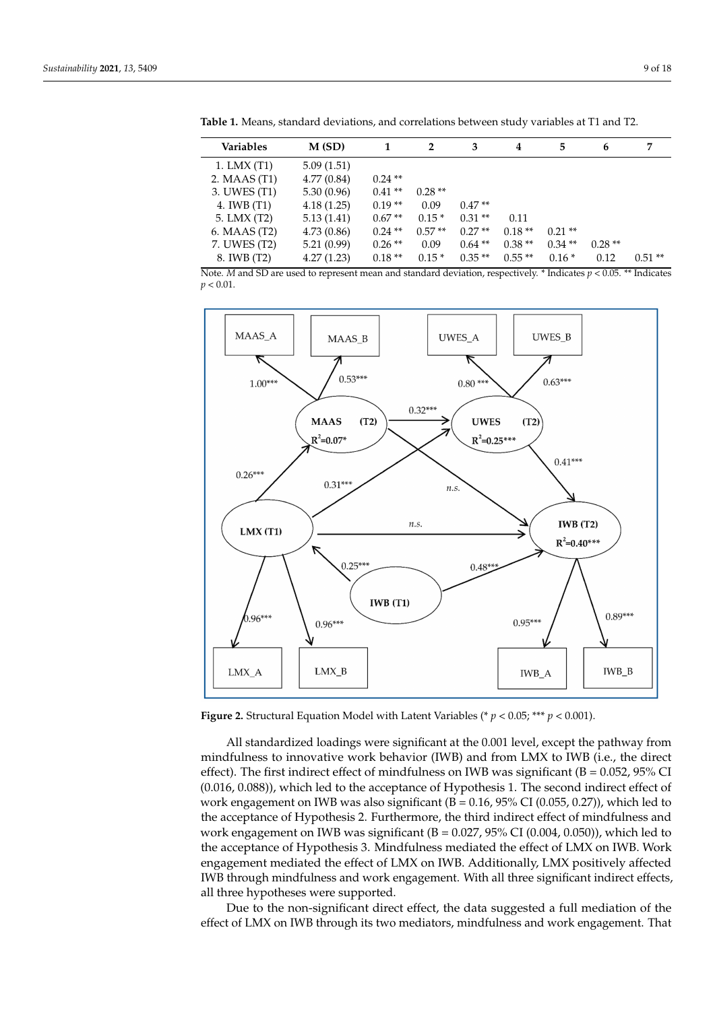| <b>Variables</b> | M(SD)                                                                                                                                                                                                                             |           | $\overline{2}$ | 3        | 4        | 5        | 6                                                              | 7        |
|------------------|-----------------------------------------------------------------------------------------------------------------------------------------------------------------------------------------------------------------------------------|-----------|----------------|----------|----------|----------|----------------------------------------------------------------|----------|
| $1.$ LMX $(T1)$  | 5.09(1.51)                                                                                                                                                                                                                        |           |                |          |          |          |                                                                |          |
| 2. MAAS (T1)     | 4.77(0.84)                                                                                                                                                                                                                        | $0.24$ ** |                |          |          |          |                                                                |          |
| 3. UWES (T1)     | 5.30(0.96)                                                                                                                                                                                                                        | $0.41**$  | $0.28**$       |          |          |          |                                                                |          |
| 4. IWB (T1)      | 4.18(1.25)                                                                                                                                                                                                                        | $0.19**$  | 0.09           | $0.47**$ |          |          |                                                                |          |
| 5. LMX (T2)      | 5.13(1.41)                                                                                                                                                                                                                        | $0.67**$  | $0.15*$        | $0.31**$ | 0.11     |          |                                                                |          |
| 6. MAAS (T2)     | 4.73(0.86)                                                                                                                                                                                                                        | $0.24$ ** | $0.57**$       | $0.27**$ | $0.18**$ | $0.21**$ |                                                                |          |
| 7. UWES (T2)     | 5.21(0.99)                                                                                                                                                                                                                        | $0.26**$  | 0.09           | $0.64**$ | $0.38**$ | $0.34**$ | $0.28**$                                                       |          |
| 8. IWB (T2)      | 4.27(1.23)                                                                                                                                                                                                                        | $0.18**$  | $0.15*$        | $0.35**$ | $0.55**$ | $0.16*$  | 0.12                                                           | $0.51**$ |
| $T = 16$         | $\mathbf{1}$ , the contract of the contract of the contract of the contract of the contract of the contract of the contract of the contract of the contract of the contract of the contract of the contract of the contract of th |           |                |          |          |          | $\cdots$ $\cdots$ $\cdots$ $\cdots$ $\cdots$ $\cdots$ $\cdots$ |          |

<span id="page-8-0"></span>Table 1. Means, standard deviations, and correlations between study variables at T1 and T2.

3.

Note. M and SD are used to represent mean and standard deviation, respectively. \* Indicates  $p < 0.05$ . \*\* Indicates  $p < 0.01$ .

<span id="page-8-1"></span>

**Figure 2.** Structural Equation Model with Latent Variables (\*  $p < 0.05$ ; \*\*\*  $p < 0.001$ ).

All standardized loadings were significant at the 0.001 level, except the pathway from mindfulness to innovative work behavior (IWB) and from LMX to IWB (i.e., the direct effect). The first indirect effect of mindfulness on IWB was significant ( $B = 0.052$ ,  $95\%$  CI (0.016, 0.088)), which led to the acceptance of Hypothesis 1. The second indirect effect of work engagement on IWB was also significant  $(B = 0.16, 95\% \text{ CI } (0.055, 0.27))$ , which led to the acceptance of Hypothesis 2. Furthermore, the third indirect effect of mindfulness and work engagement on IWB was significant ( $B = 0.027$ ,  $95\%$  CI (0.004, 0.050)), which led to the acceptance of Hypothesis 3. Mindfulness mediated the effect of LMX on IWB. Work engagement mediated the effect of LMX on IWB. Additionally, LMX positively affected IWB through mindfulness and work engagement. With all three significant indirect effects, all three hypotheses were supported.

Due to the non-significant direct effect, the data suggested a full mediation of the effect of LMX on IWB through its two mediators, mindfulness and work engagement. That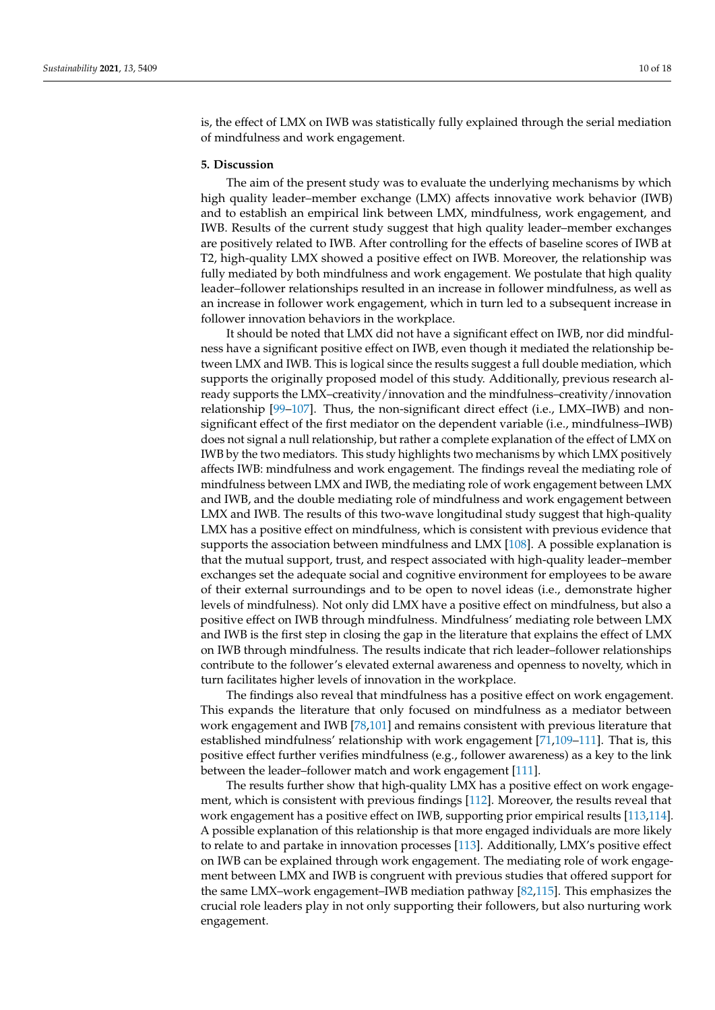is, the effect of LMX on IWB was statistically fully explained through the serial mediation of mindfulness and work engagement.

## **5. Discussion**

The aim of the present study was to evaluate the underlying mechanisms by which high quality leader–member exchange (LMX) affects innovative work behavior (IWB) and to establish an empirical link between LMX, mindfulness, work engagement, and IWB. Results of the current study suggest that high quality leader–member exchanges are positively related to IWB. After controlling for the effects of baseline scores of IWB at T2, high-quality LMX showed a positive effect on IWB. Moreover, the relationship was fully mediated by both mindfulness and work engagement. We postulate that high quality leader–follower relationships resulted in an increase in follower mindfulness, as well as an increase in follower work engagement, which in turn led to a subsequent increase in follower innovation behaviors in the workplace.

It should be noted that LMX did not have a significant effect on IWB, nor did mindfulness have a significant positive effect on IWB, even though it mediated the relationship between LMX and IWB. This is logical since the results suggest a full double mediation, which supports the originally proposed model of this study. Additionally, previous research already supports the LMX–creativity/innovation and the mindfulness–creativity/innovation relationship [\[99–](#page-16-16)[107\]](#page-16-17). Thus, the non-significant direct effect (i.e., LMX–IWB) and nonsignificant effect of the first mediator on the dependent variable (i.e., mindfulness–IWB) does not signal a null relationship, but rather a complete explanation of the effect of LMX on IWB by the two mediators. This study highlights two mechanisms by which LMX positively affects IWB: mindfulness and work engagement. The findings reveal the mediating role of mindfulness between LMX and IWB, the mediating role of work engagement between LMX and IWB, and the double mediating role of mindfulness and work engagement between LMX and IWB. The results of this two-wave longitudinal study suggest that high-quality LMX has a positive effect on mindfulness, which is consistent with previous evidence that supports the association between mindfulness and LMX [\[108\]](#page-17-0). A possible explanation is that the mutual support, trust, and respect associated with high-quality leader–member exchanges set the adequate social and cognitive environment for employees to be aware of their external surroundings and to be open to novel ideas (i.e., demonstrate higher levels of mindfulness). Not only did LMX have a positive effect on mindfulness, but also a positive effect on IWB through mindfulness. Mindfulness' mediating role between LMX and IWB is the first step in closing the gap in the literature that explains the effect of LMX on IWB through mindfulness. The results indicate that rich leader–follower relationships contribute to the follower's elevated external awareness and openness to novelty, which in turn facilitates higher levels of innovation in the workplace.

The findings also reveal that mindfulness has a positive effect on work engagement. This expands the literature that only focused on mindfulness as a mediator between work engagement and IWB [\[78,](#page-15-29)[101\]](#page-16-18) and remains consistent with previous literature that established mindfulness' relationship with work engagement [\[71,](#page-15-22)[109](#page-17-1)[–111\]](#page-17-2). That is, this positive effect further verifies mindfulness (e.g., follower awareness) as a key to the link between the leader–follower match and work engagement [\[111\]](#page-17-2).

The results further show that high-quality LMX has a positive effect on work engagement, which is consistent with previous findings [\[112\]](#page-17-3). Moreover, the results reveal that work engagement has a positive effect on IWB, supporting prior empirical results [\[113](#page-17-4)[,114\]](#page-17-5). A possible explanation of this relationship is that more engaged individuals are more likely to relate to and partake in innovation processes [\[113\]](#page-17-4). Additionally, LMX's positive effect on IWB can be explained through work engagement. The mediating role of work engagement between LMX and IWB is congruent with previous studies that offered support for the same LMX–work engagement–IWB mediation pathway [\[82](#page-16-1)[,115\]](#page-17-6). This emphasizes the crucial role leaders play in not only supporting their followers, but also nurturing work engagement.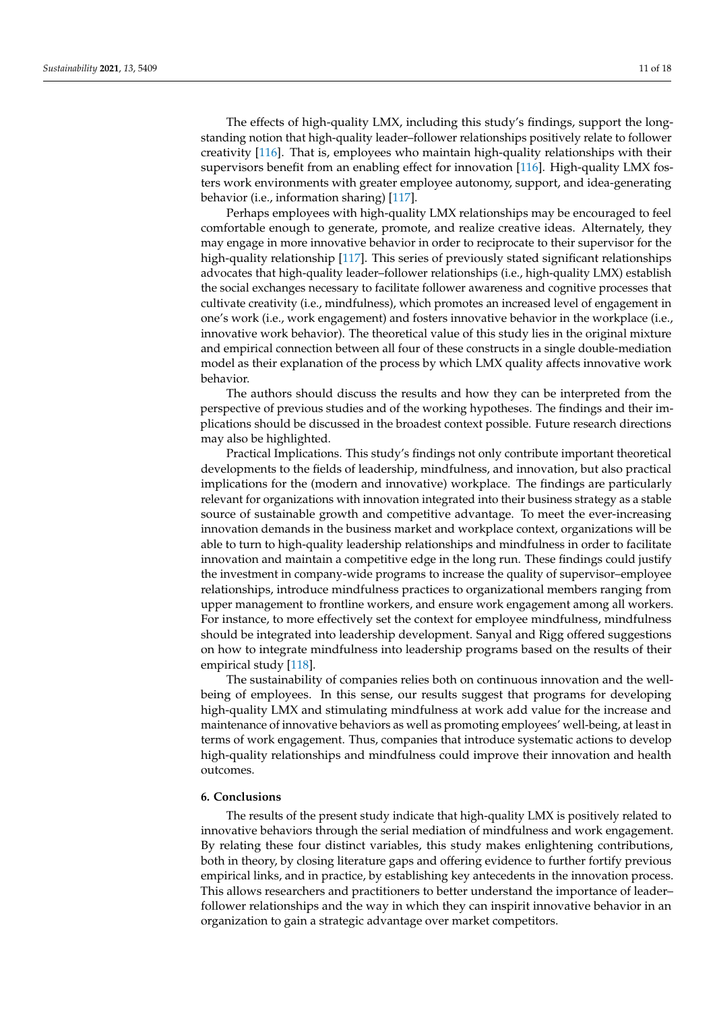The effects of high-quality LMX, including this study's findings, support the longstanding notion that high-quality leader–follower relationships positively relate to follower creativity [\[116\]](#page-17-7). That is, employees who maintain high-quality relationships with their supervisors benefit from an enabling effect for innovation [\[116\]](#page-17-7). High-quality LMX fosters work environments with greater employee autonomy, support, and idea-generating behavior (i.e., information sharing) [\[117\]](#page-17-8).

Perhaps employees with high-quality LMX relationships may be encouraged to feel comfortable enough to generate, promote, and realize creative ideas. Alternately, they may engage in more innovative behavior in order to reciprocate to their supervisor for the high-quality relationship [\[117\]](#page-17-8). This series of previously stated significant relationships advocates that high-quality leader–follower relationships (i.e., high-quality LMX) establish the social exchanges necessary to facilitate follower awareness and cognitive processes that cultivate creativity (i.e., mindfulness), which promotes an increased level of engagement in one's work (i.e., work engagement) and fosters innovative behavior in the workplace (i.e., innovative work behavior). The theoretical value of this study lies in the original mixture and empirical connection between all four of these constructs in a single double-mediation model as their explanation of the process by which LMX quality affects innovative work behavior.

The authors should discuss the results and how they can be interpreted from the perspective of previous studies and of the working hypotheses. The findings and their implications should be discussed in the broadest context possible. Future research directions may also be highlighted.

Practical Implications. This study's findings not only contribute important theoretical developments to the fields of leadership, mindfulness, and innovation, but also practical implications for the (modern and innovative) workplace. The findings are particularly relevant for organizations with innovation integrated into their business strategy as a stable source of sustainable growth and competitive advantage. To meet the ever-increasing innovation demands in the business market and workplace context, organizations will be able to turn to high-quality leadership relationships and mindfulness in order to facilitate innovation and maintain a competitive edge in the long run. These findings could justify the investment in company-wide programs to increase the quality of supervisor–employee relationships, introduce mindfulness practices to organizational members ranging from upper management to frontline workers, and ensure work engagement among all workers. For instance, to more effectively set the context for employee mindfulness, mindfulness should be integrated into leadership development. Sanyal and Rigg offered suggestions on how to integrate mindfulness into leadership programs based on the results of their empirical study [\[118\]](#page-17-9).

The sustainability of companies relies both on continuous innovation and the wellbeing of employees. In this sense, our results suggest that programs for developing high-quality LMX and stimulating mindfulness at work add value for the increase and maintenance of innovative behaviors as well as promoting employees' well-being, at least in terms of work engagement. Thus, companies that introduce systematic actions to develop high-quality relationships and mindfulness could improve their innovation and health outcomes.

# **6. Conclusions**

The results of the present study indicate that high-quality LMX is positively related to innovative behaviors through the serial mediation of mindfulness and work engagement. By relating these four distinct variables, this study makes enlightening contributions, both in theory, by closing literature gaps and offering evidence to further fortify previous empirical links, and in practice, by establishing key antecedents in the innovation process. This allows researchers and practitioners to better understand the importance of leader– follower relationships and the way in which they can inspirit innovative behavior in an organization to gain a strategic advantage over market competitors.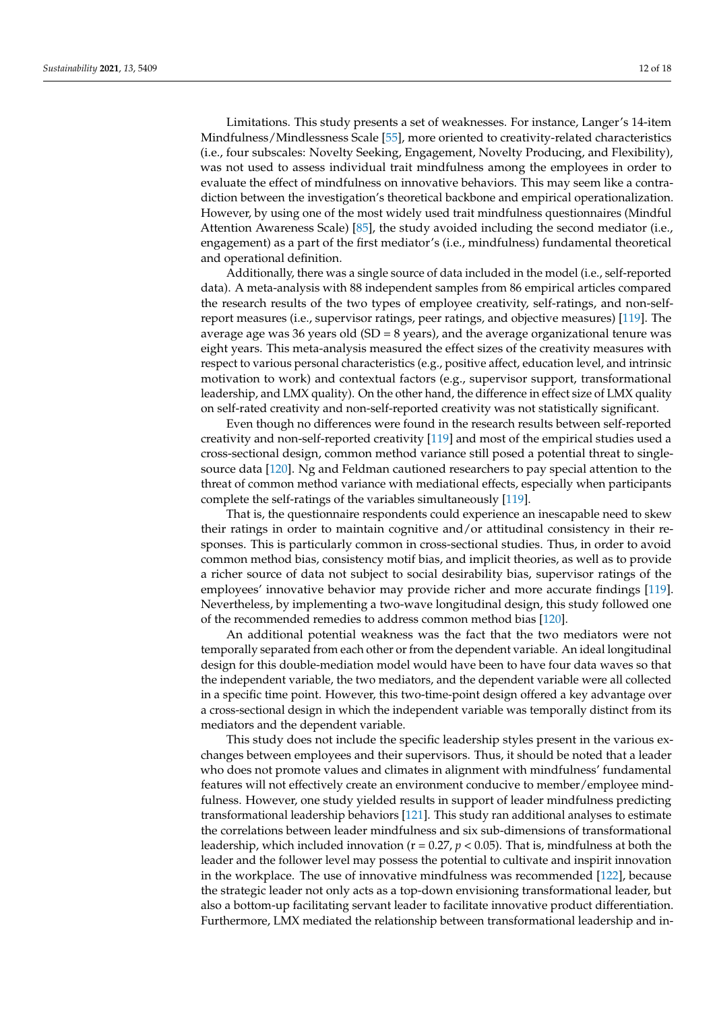Limitations. This study presents a set of weaknesses. For instance, Langer's 14-item Mindfulness/Mindlessness Scale [\[55\]](#page-15-6), more oriented to creativity-related characteristics (i.e., four subscales: Novelty Seeking, Engagement, Novelty Producing, and Flexibility), was not used to assess individual trait mindfulness among the employees in order to evaluate the effect of mindfulness on innovative behaviors. This may seem like a contradiction between the investigation's theoretical backbone and empirical operationalization. However, by using one of the most widely used trait mindfulness questionnaires (Mindful Attention Awareness Scale) [\[85\]](#page-16-4), the study avoided including the second mediator (i.e., engagement) as a part of the first mediator's (i.e., mindfulness) fundamental theoretical and operational definition.

Additionally, there was a single source of data included in the model (i.e., self-reported data). A meta-analysis with 88 independent samples from 86 empirical articles compared the research results of the two types of employee creativity, self-ratings, and non-selfreport measures (i.e., supervisor ratings, peer ratings, and objective measures) [\[119\]](#page-17-10). The average age was 36 years old (SD =  $8$  years), and the average organizational tenure was eight years. This meta-analysis measured the effect sizes of the creativity measures with respect to various personal characteristics (e.g., positive affect, education level, and intrinsic motivation to work) and contextual factors (e.g., supervisor support, transformational leadership, and LMX quality). On the other hand, the difference in effect size of LMX quality on self-rated creativity and non-self-reported creativity was not statistically significant.

Even though no differences were found in the research results between self-reported creativity and non-self-reported creativity [\[119\]](#page-17-10) and most of the empirical studies used a cross-sectional design, common method variance still posed a potential threat to singlesource data [\[120\]](#page-17-11). Ng and Feldman cautioned researchers to pay special attention to the threat of common method variance with mediational effects, especially when participants complete the self-ratings of the variables simultaneously [\[119\]](#page-17-10).

That is, the questionnaire respondents could experience an inescapable need to skew their ratings in order to maintain cognitive and/or attitudinal consistency in their responses. This is particularly common in cross-sectional studies. Thus, in order to avoid common method bias, consistency motif bias, and implicit theories, as well as to provide a richer source of data not subject to social desirability bias, supervisor ratings of the employees' innovative behavior may provide richer and more accurate findings [\[119\]](#page-17-10). Nevertheless, by implementing a two-wave longitudinal design, this study followed one of the recommended remedies to address common method bias [\[120\]](#page-17-11).

An additional potential weakness was the fact that the two mediators were not temporally separated from each other or from the dependent variable. An ideal longitudinal design for this double-mediation model would have been to have four data waves so that the independent variable, the two mediators, and the dependent variable were all collected in a specific time point. However, this two-time-point design offered a key advantage over a cross-sectional design in which the independent variable was temporally distinct from its mediators and the dependent variable.

This study does not include the specific leadership styles present in the various exchanges between employees and their supervisors. Thus, it should be noted that a leader who does not promote values and climates in alignment with mindfulness' fundamental features will not effectively create an environment conducive to member/employee mindfulness. However, one study yielded results in support of leader mindfulness predicting transformational leadership behaviors [\[121\]](#page-17-12). This study ran additional analyses to estimate the correlations between leader mindfulness and six sub-dimensions of transformational leadership, which included innovation ( $r = 0.27$ ,  $p < 0.05$ ). That is, mindfulness at both the leader and the follower level may possess the potential to cultivate and inspirit innovation in the workplace. The use of innovative mindfulness was recommended [\[122\]](#page-17-13), because the strategic leader not only acts as a top-down envisioning transformational leader, but also a bottom-up facilitating servant leader to facilitate innovative product differentiation. Furthermore, LMX mediated the relationship between transformational leadership and in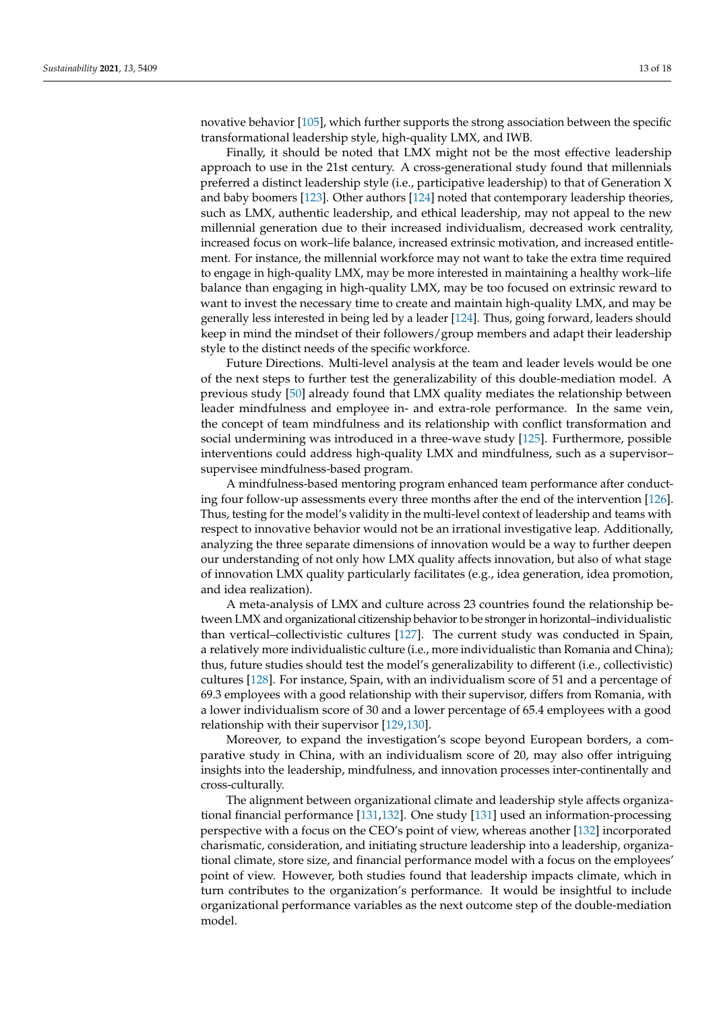novative behavior [\[105\]](#page-16-19), which further supports the strong association between the specific transformational leadership style, high-quality LMX, and IWB.

Finally, it should be noted that LMX might not be the most effective leadership approach to use in the 21st century. A cross-generational study found that millennials preferred a distinct leadership style (i.e., participative leadership) to that of Generation X and baby boomers [\[123\]](#page-17-14). Other authors [\[124\]](#page-17-15) noted that contemporary leadership theories, such as LMX, authentic leadership, and ethical leadership, may not appeal to the new millennial generation due to their increased individualism, decreased work centrality, increased focus on work–life balance, increased extrinsic motivation, and increased entitlement. For instance, the millennial workforce may not want to take the extra time required to engage in high-quality LMX, may be more interested in maintaining a healthy work–life balance than engaging in high-quality LMX, may be too focused on extrinsic reward to want to invest the necessary time to create and maintain high-quality LMX, and may be generally less interested in being led by a leader [\[124\]](#page-17-15). Thus, going forward, leaders should keep in mind the mindset of their followers/group members and adapt their leadership style to the distinct needs of the specific workforce.

Future Directions. Multi-level analysis at the team and leader levels would be one of the next steps to further test the generalizability of this double-mediation model. A previous study [\[50\]](#page-15-1) already found that LMX quality mediates the relationship between leader mindfulness and employee in- and extra-role performance. In the same vein, the concept of team mindfulness and its relationship with conflict transformation and social undermining was introduced in a three-wave study [\[125\]](#page-17-16). Furthermore, possible interventions could address high-quality LMX and mindfulness, such as a supervisor– supervisee mindfulness-based program.

A mindfulness-based mentoring program enhanced team performance after conducting four follow-up assessments every three months after the end of the intervention [\[126\]](#page-17-17). Thus, testing for the model's validity in the multi-level context of leadership and teams with respect to innovative behavior would not be an irrational investigative leap. Additionally, analyzing the three separate dimensions of innovation would be a way to further deepen our understanding of not only how LMX quality affects innovation, but also of what stage of innovation LMX quality particularly facilitates (e.g., idea generation, idea promotion, and idea realization).

A meta-analysis of LMX and culture across 23 countries found the relationship between LMX and organizational citizenship behavior to be stronger in horizontal–individualistic than vertical–collectivistic cultures [\[127\]](#page-17-18). The current study was conducted in Spain, a relatively more individualistic culture (i.e., more individualistic than Romania and China); thus, future studies should test the model's generalizability to different (i.e., collectivistic) cultures [\[128\]](#page-17-19). For instance, Spain, with an individualism score of 51 and a percentage of 69.3 employees with a good relationship with their supervisor, differs from Romania, with a lower individualism score of 30 and a lower percentage of 65.4 employees with a good relationship with their supervisor [\[129,](#page-17-20)[130\]](#page-17-21).

Moreover, to expand the investigation's scope beyond European borders, a comparative study in China, with an individualism score of 20, may also offer intriguing insights into the leadership, mindfulness, and innovation processes inter-continentally and cross-culturally.

The alignment between organizational climate and leadership style affects organizational financial performance [\[131](#page-17-22)[,132\]](#page-17-23). One study [\[131\]](#page-17-22) used an information-processing perspective with a focus on the CEO's point of view, whereas another [\[132\]](#page-17-23) incorporated charismatic, consideration, and initiating structure leadership into a leadership, organizational climate, store size, and financial performance model with a focus on the employees' point of view. However, both studies found that leadership impacts climate, which in turn contributes to the organization's performance. It would be insightful to include organizational performance variables as the next outcome step of the double-mediation model.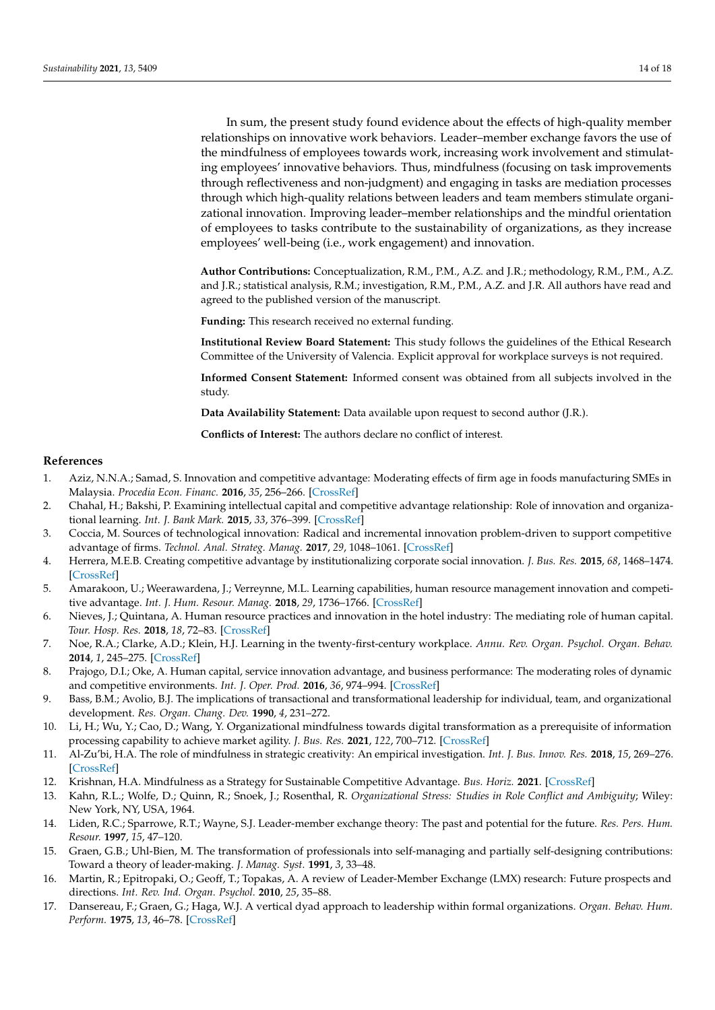In sum, the present study found evidence about the effects of high-quality member relationships on innovative work behaviors. Leader–member exchange favors the use of the mindfulness of employees towards work, increasing work involvement and stimulating employees' innovative behaviors. Thus, mindfulness (focusing on task improvements through reflectiveness and non-judgment) and engaging in tasks are mediation processes through which high-quality relations between leaders and team members stimulate organizational innovation. Improving leader–member relationships and the mindful orientation of employees to tasks contribute to the sustainability of organizations, as they increase employees' well-being (i.e., work engagement) and innovation.

**Author Contributions:** Conceptualization, R.M., P.M., A.Z. and J.R.; methodology, R.M., P.M., A.Z. and J.R.; statistical analysis, R.M.; investigation, R.M., P.M., A.Z. and J.R. All authors have read and agreed to the published version of the manuscript.

**Funding:** This research received no external funding.

**Institutional Review Board Statement:** This study follows the guidelines of the Ethical Research Committee of the University of Valencia. Explicit approval for workplace surveys is not required.

**Informed Consent Statement:** Informed consent was obtained from all subjects involved in the study.

**Data Availability Statement:** Data available upon request to second author (J.R.).

**Conflicts of Interest:** The authors declare no conflict of interest.

#### **References**

- <span id="page-13-0"></span>1. Aziz, N.N.A.; Samad, S. Innovation and competitive advantage: Moderating effects of firm age in foods manufacturing SMEs in Malaysia. *Procedia Econ. Financ.* **2016**, *35*, 256–266. [\[CrossRef\]](http://doi.org/10.1016/S2212-5671(16)00032-0)
- 2. Chahal, H.; Bakshi, P. Examining intellectual capital and competitive advantage relationship: Role of innovation and organizational learning. *Int. J. Bank Mark.* **2015**, *33*, 376–399. [\[CrossRef\]](http://doi.org/10.1108/IJBM-07-2013-0069)
- 3. Coccia, M. Sources of technological innovation: Radical and incremental innovation problem-driven to support competitive advantage of firms. *Technol. Anal. Strateg. Manag.* **2017**, *29*, 1048–1061. [\[CrossRef\]](http://doi.org/10.1080/09537325.2016.1268682)
- <span id="page-13-1"></span>4. Herrera, M.E.B. Creating competitive advantage by institutionalizing corporate social innovation. *J. Bus. Res.* **2015**, *68*, 1468–1474. [\[CrossRef\]](http://doi.org/10.1016/j.jbusres.2015.01.036)
- <span id="page-13-2"></span>5. Amarakoon, U.; Weerawardena, J.; Verreynne, M.L. Learning capabilities, human resource management innovation and competitive advantage. *Int. J. Hum. Resour. Manag.* **2018**, *29*, 1736–1766. [\[CrossRef\]](http://doi.org/10.1080/09585192.2016.1209228)
- 6. Nieves, J.; Quintana, A. Human resource practices and innovation in the hotel industry: The mediating role of human capital. *Tour. Hosp. Res.* **2018**, *18*, 72–83. [\[CrossRef\]](http://doi.org/10.1177/1467358415624137)
- 7. Noe, R.A.; Clarke, A.D.; Klein, H.J. Learning in the twenty-first-century workplace. *Annu. Rev. Organ. Psychol. Organ. Behav.* **2014**, *1*, 245–275. [\[CrossRef\]](http://doi.org/10.1146/annurev-orgpsych-031413-091321)
- <span id="page-13-3"></span>8. Prajogo, D.I.; Oke, A. Human capital, service innovation advantage, and business performance: The moderating roles of dynamic and competitive environments. *Int. J. Oper. Prod.* **2016**, *36*, 974–994. [\[CrossRef\]](http://doi.org/10.1108/IJOPM-11-2014-0537)
- <span id="page-13-4"></span>9. Bass, B.M.; Avolio, B.J. The implications of transactional and transformational leadership for individual, team, and organizational development. *Res. Organ. Chang. Dev.* **1990**, *4*, 231–272.
- <span id="page-13-5"></span>10. Li, H.; Wu, Y.; Cao, D.; Wang, Y. Organizational mindfulness towards digital transformation as a prerequisite of information processing capability to achieve market agility. *J. Bus. Res.* **2021**, *122*, 700–712. [\[CrossRef\]](http://doi.org/10.1016/j.jbusres.2019.10.036)
- <span id="page-13-6"></span>11. Al-Zu'bi, H.A. The role of mindfulness in strategic creativity: An empirical investigation. *Int. J. Bus. Innov. Res.* **2018**, *15*, 269–276. [\[CrossRef\]](http://doi.org/10.1504/IJBIR.2018.10010404)
- <span id="page-13-7"></span>12. Krishnan, H.A. Mindfulness as a Strategy for Sustainable Competitive Advantage. *Bus. Horiz.* **2021**. [\[CrossRef\]](http://doi.org/10.1016/j.bushor.2021.02.023)
- <span id="page-13-8"></span>13. Kahn, R.L.; Wolfe, D.; Quinn, R.; Snoek, J.; Rosenthal, R. *Organizational Stress: Studies in Role Conflict and Ambiguity*; Wiley: New York, NY, USA, 1964.
- <span id="page-13-9"></span>14. Liden, R.C.; Sparrowe, R.T.; Wayne, S.J. Leader-member exchange theory: The past and potential for the future. *Res. Pers. Hum. Resour.* **1997**, *15*, 47–120.
- <span id="page-13-10"></span>15. Graen, G.B.; Uhl-Bien, M. The transformation of professionals into self-managing and partially self-designing contributions: Toward a theory of leader-making. *J. Manag. Syst.* **1991**, *3*, 33–48.
- <span id="page-13-11"></span>16. Martin, R.; Epitropaki, O.; Geoff, T.; Topakas, A. A review of Leader-Member Exchange (LMX) research: Future prospects and directions. *Int. Rev. Ind. Organ. Psychol.* **2010**, *25*, 35–88.
- <span id="page-13-12"></span>17. Dansereau, F.; Graen, G.; Haga, W.J. A vertical dyad approach to leadership within formal organizations. *Organ. Behav. Hum. Perform.* **1975**, *13*, 46–78. [\[CrossRef\]](http://doi.org/10.1016/0030-5073(75)90005-7)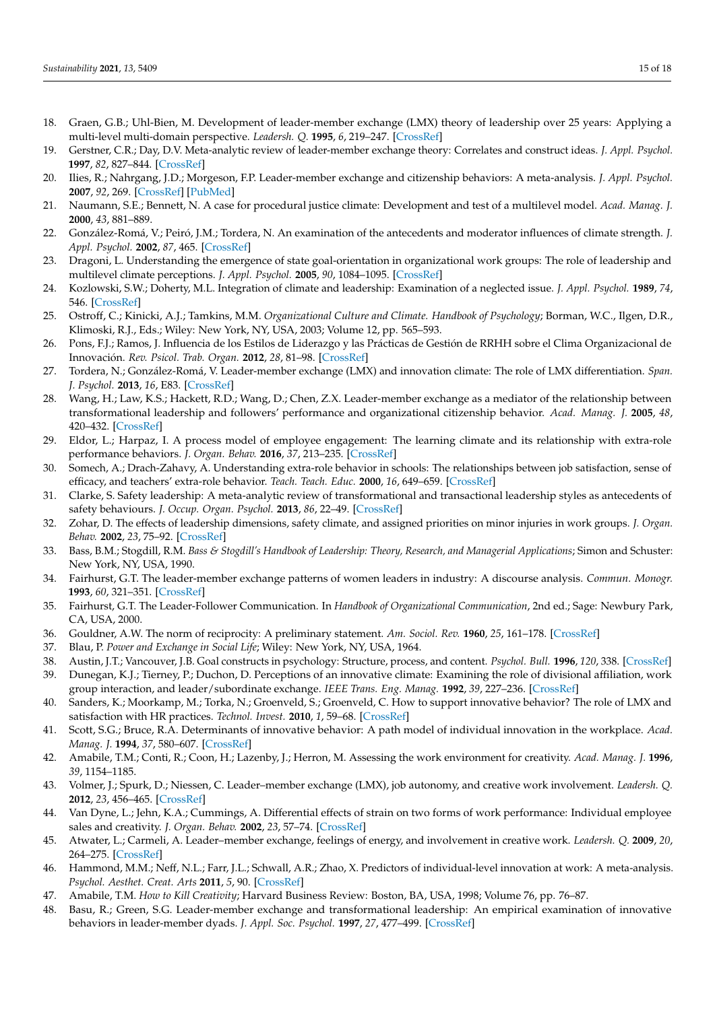- <span id="page-14-0"></span>18. Graen, G.B.; Uhl-Bien, M. Development of leader-member exchange (LMX) theory of leadership over 25 years: Applying a multi-level multi-domain perspective. *Leadersh. Q.* **1995**, *6*, 219–247. [\[CrossRef\]](http://doi.org/10.1016/1048-9843(95)90036-5)
- <span id="page-14-1"></span>19. Gerstner, C.R.; Day, D.V. Meta-analytic review of leader-member exchange theory: Correlates and construct ideas. *J. Appl. Psychol.* **1997**, *82*, 827–844. [\[CrossRef\]](http://doi.org/10.1037/0021-9010.82.6.827)
- <span id="page-14-2"></span>20. Ilies, R.; Nahrgang, J.D.; Morgeson, F.P. Leader-member exchange and citizenship behaviors: A meta-analysis. *J. Appl. Psychol.* **2007**, *92*, 269. [\[CrossRef\]](http://doi.org/10.1037/0021-9010.92.1.269) [\[PubMed\]](http://www.ncbi.nlm.nih.gov/pubmed/17227168)
- <span id="page-14-3"></span>21. Naumann, S.E.; Bennett, N. A case for procedural justice climate: Development and test of a multilevel model. *Acad. Manag. J.* **2000**, *43*, 881–889.
- <span id="page-14-4"></span>22. González-Romá, V.; Peiró, J.M.; Tordera, N. An examination of the antecedents and moderator influences of climate strength. *J. Appl. Psychol.* **2002**, *87*, 465. [\[CrossRef\]](http://doi.org/10.1037/0021-9010.87.3.465)
- <span id="page-14-5"></span>23. Dragoni, L. Understanding the emergence of state goal-orientation in organizational work groups: The role of leadership and multilevel climate perceptions. *J. Appl. Psychol.* **2005**, *90*, 1084–1095. [\[CrossRef\]](http://doi.org/10.1037/0021-9010.90.6.1084)
- <span id="page-14-19"></span>24. Kozlowski, S.W.; Doherty, M.L. Integration of climate and leadership: Examination of a neglected issue. *J. Appl. Psychol.* **1989**, *74*, 546. [\[CrossRef\]](http://doi.org/10.1037/0021-9010.74.4.546)
- <span id="page-14-6"></span>25. Ostroff, C.; Kinicki, A.J.; Tamkins, M.M. *Organizational Culture and Climate. Handbook of Psychology*; Borman, W.C., Ilgen, D.R., Klimoski, R.J., Eds.; Wiley: New York, NY, USA, 2003; Volume 12, pp. 565–593.
- <span id="page-14-7"></span>26. Pons, F.J.; Ramos, J. Influencia de los Estilos de Liderazgo y las Prácticas de Gestión de RRHH sobre el Clima Organizacional de Innovación. *Rev. Psicol. Trab. Organ.* **2012**, *28*, 81–98. [\[CrossRef\]](http://doi.org/10.5093/tr2012a7)
- <span id="page-14-8"></span>27. Tordera, N.; González-Romá, V. Leader-member exchange (LMX) and innovation climate: The role of LMX differentiation. *Span. J. Psychol.* **2013**, *16*, E83. [\[CrossRef\]](http://doi.org/10.1017/sjp.2013.83)
- <span id="page-14-9"></span>28. Wang, H.; Law, K.S.; Hackett, R.D.; Wang, D.; Chen, Z.X. Leader-member exchange as a mediator of the relationship between transformational leadership and followers' performance and organizational citizenship behavior. *Acad. Manag. J.* **2005**, *48*, 420–432. [\[CrossRef\]](http://doi.org/10.5465/amj.2005.17407908)
- <span id="page-14-10"></span>29. Eldor, L.; Harpaz, I. A process model of employee engagement: The learning climate and its relationship with extra-role performance behaviors. *J. Organ. Behav.* **2016**, *37*, 213–235. [\[CrossRef\]](http://doi.org/10.1002/job.2037)
- <span id="page-14-11"></span>30. Somech, A.; Drach-Zahavy, A. Understanding extra-role behavior in schools: The relationships between job satisfaction, sense of efficacy, and teachers' extra-role behavior. *Teach. Teach. Educ.* **2000**, *16*, 649–659. [\[CrossRef\]](http://doi.org/10.1016/S0742-051X(00)00012-3)
- <span id="page-14-12"></span>31. Clarke, S. Safety leadership: A meta-analytic review of transformational and transactional leadership styles as antecedents of safety behaviours. *J. Occup. Organ. Psychol.* **2013**, *86*, 22–49. [\[CrossRef\]](http://doi.org/10.1111/j.2044-8325.2012.02064.x)
- <span id="page-14-13"></span>32. Zohar, D. The effects of leadership dimensions, safety climate, and assigned priorities on minor injuries in work groups. *J. Organ. Behav.* **2002**, *23*, 75–92. [\[CrossRef\]](http://doi.org/10.1002/job.130)
- <span id="page-14-14"></span>33. Bass, B.M.; Stogdill, R.M. *Bass & Stogdill's Handbook of Leadership: Theory, Research, and Managerial Applications*; Simon and Schuster: New York, NY, USA, 1990.
- 34. Fairhurst, G.T. The leader-member exchange patterns of women leaders in industry: A discourse analysis. *Commun. Monogr.* **1993**, *60*, 321–351. [\[CrossRef\]](http://doi.org/10.1080/03637759309376316)
- <span id="page-14-15"></span>35. Fairhurst, G.T. The Leader-Follower Communication. In *Handbook of Organizational Communication*, 2nd ed.; Sage: Newbury Park, CA, USA, 2000.
- <span id="page-14-16"></span>36. Gouldner, A.W. The norm of reciprocity: A preliminary statement. *Am. Sociol. Rev.* **1960**, *25*, 161–178. [\[CrossRef\]](http://doi.org/10.2307/2092623)
- <span id="page-14-17"></span>37. Blau, P. *Power and Exchange in Social Life*; Wiley: New York, NY, USA, 1964.
- <span id="page-14-18"></span>38. Austin, J.T.; Vancouver, J.B. Goal constructs in psychology: Structure, process, and content. *Psychol. Bull.* **1996**, *120*, 338. [\[CrossRef\]](http://doi.org/10.1037/0033-2909.120.3.338)
- <span id="page-14-20"></span>39. Dunegan, K.J.; Tierney, P.; Duchon, D. Perceptions of an innovative climate: Examining the role of divisional affiliation, work group interaction, and leader/subordinate exchange. *IEEE Trans. Eng. Manag.* **1992**, *39*, 227–236. [\[CrossRef\]](http://doi.org/10.1109/17.156556)
- <span id="page-14-27"></span>40. Sanders, K.; Moorkamp, M.; Torka, N.; Groenveld, S.; Groenveld, C. How to support innovative behavior? The role of LMX and satisfaction with HR practices. *Technol. Invest.* **2010**, *1*, 59–68. [\[CrossRef\]](http://doi.org/10.4236/ti.2010.11007)
- <span id="page-14-21"></span>41. Scott, S.G.; Bruce, R.A. Determinants of innovative behavior: A path model of individual innovation in the workplace. *Acad. Manag. J.* **1994**, *37*, 580–607. [\[CrossRef\]](http://doi.org/10.2307/256701)
- <span id="page-14-22"></span>42. Amabile, T.M.; Conti, R.; Coon, H.; Lazenby, J.; Herron, M. Assessing the work environment for creativity. *Acad. Manag. J.* **1996**, *39*, 1154–1185.
- <span id="page-14-23"></span>43. Volmer, J.; Spurk, D.; Niessen, C. Leader–member exchange (LMX), job autonomy, and creative work involvement. *Leadersh. Q.* **2012**, *23*, 456–465. [\[CrossRef\]](http://doi.org/10.1016/j.leaqua.2011.10.005)
- <span id="page-14-24"></span>44. Van Dyne, L.; Jehn, K.A.; Cummings, A. Differential effects of strain on two forms of work performance: Individual employee sales and creativity. *J. Organ. Behav.* **2002**, *23*, 57–74. [\[CrossRef\]](http://doi.org/10.1002/job.127)
- <span id="page-14-25"></span>45. Atwater, L.; Carmeli, A. Leader–member exchange, feelings of energy, and involvement in creative work. *Leadersh. Q.* **2009**, *20*, 264–275. [\[CrossRef\]](http://doi.org/10.1016/j.leaqua.2007.07.009)
- <span id="page-14-26"></span>46. Hammond, M.M.; Neff, N.L.; Farr, J.L.; Schwall, A.R.; Zhao, X. Predictors of individual-level innovation at work: A meta-analysis. *Psychol. Aesthet. Creat. Arts* **2011**, *5*, 90. [\[CrossRef\]](http://doi.org/10.1037/a0018556)
- <span id="page-14-28"></span>47. Amabile, T.M. *How to Kill Creativity*; Harvard Business Review: Boston, BA, USA, 1998; Volume 76, pp. 76–87.
- <span id="page-14-29"></span>48. Basu, R.; Green, S.G. Leader-member exchange and transformational leadership: An empirical examination of innovative behaviors in leader-member dyads. *J. Appl. Soc. Psychol.* **1997**, *27*, 477–499. [\[CrossRef\]](http://doi.org/10.1111/j.1559-1816.1997.tb00643.x)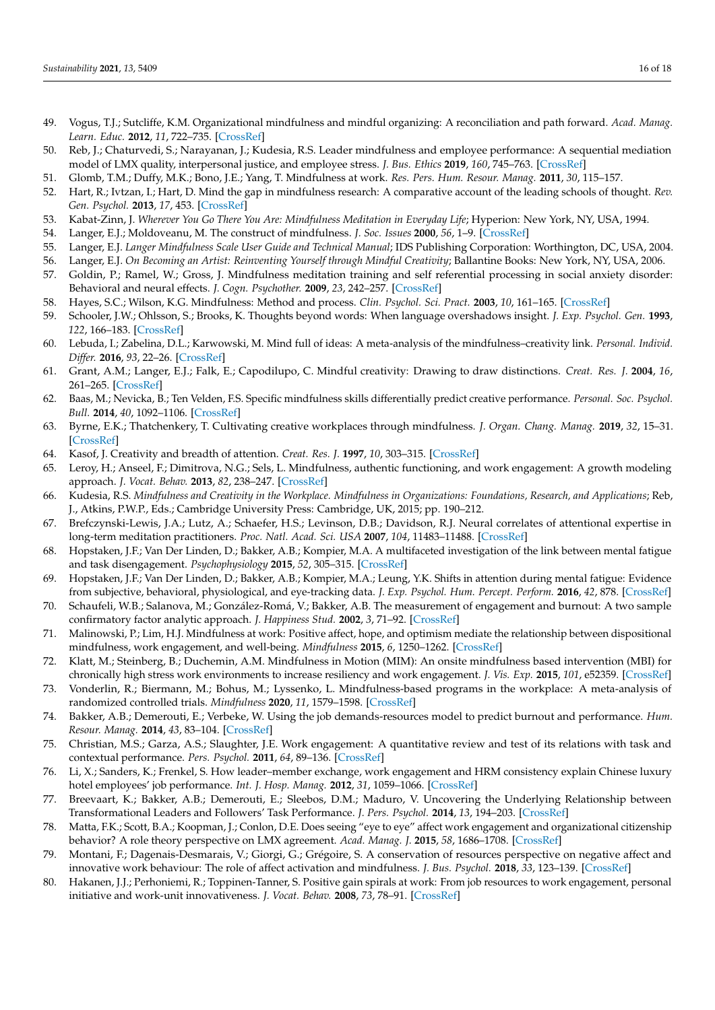- <span id="page-15-0"></span>49. Vogus, T.J.; Sutcliffe, K.M. Organizational mindfulness and mindful organizing: A reconciliation and path forward. *Acad. Manag. Learn. Educ.* **2012**, *11*, 722–735. [\[CrossRef\]](http://doi.org/10.5465/amle.2011.0002c)
- <span id="page-15-1"></span>50. Reb, J.; Chaturvedi, S.; Narayanan, J.; Kudesia, R.S. Leader mindfulness and employee performance: A sequential mediation model of LMX quality, interpersonal justice, and employee stress. *J. Bus. Ethics* **2019**, *160*, 745–763. [\[CrossRef\]](http://doi.org/10.1007/s10551-018-3927-x)
- <span id="page-15-2"></span>51. Glomb, T.M.; Duffy, M.K.; Bono, J.E.; Yang, T. Mindfulness at work. *Res. Pers. Hum. Resour. Manag.* **2011**, *30*, 115–157.
- <span id="page-15-3"></span>52. Hart, R.; Ivtzan, I.; Hart, D. Mind the gap in mindfulness research: A comparative account of the leading schools of thought. *Rev. Gen. Psychol.* **2013**, *17*, 453. [\[CrossRef\]](http://doi.org/10.1037/a0035212)
- <span id="page-15-4"></span>53. Kabat-Zinn, J. *Wherever You Go There You Are: Mindfulness Meditation in Everyday Life*; Hyperion: New York, NY, USA, 1994.
- <span id="page-15-5"></span>54. Langer, E.J.; Moldoveanu, M. The construct of mindfulness. *J. Soc. Issues* **2000**, *56*, 1–9. [\[CrossRef\]](http://doi.org/10.1111/0022-4537.00148)
- <span id="page-15-6"></span>55. Langer, E.J. *Langer Mindfulness Scale User Guide and Technical Manual*; IDS Publishing Corporation: Worthington, DC, USA, 2004.
- <span id="page-15-7"></span>56. Langer, E.J. *On Becoming an Artist: Reinventing Yourself through Mindful Creativity*; Ballantine Books: New York, NY, USA, 2006.
- <span id="page-15-8"></span>57. Goldin, P.; Ramel, W.; Gross, J. Mindfulness meditation training and self referential processing in social anxiety disorder: Behavioral and neural effects. *J. Cogn. Psychother.* **2009**, *23*, 242–257. [\[CrossRef\]](http://doi.org/10.1891/0889-8391.23.3.242)
- <span id="page-15-9"></span>58. Hayes, S.C.; Wilson, K.G. Mindfulness: Method and process. *Clin. Psychol. Sci. Pract.* **2003**, *10*, 161–165. [\[CrossRef\]](http://doi.org/10.1093/clipsy.bpg018)
- <span id="page-15-10"></span>59. Schooler, J.W.; Ohlsson, S.; Brooks, K. Thoughts beyond words: When language overshadows insight. *J. Exp. Psychol. Gen.* **1993**, *122*, 166–183. [\[CrossRef\]](http://doi.org/10.1037/0096-3445.122.2.166)
- <span id="page-15-11"></span>60. Lebuda, I.; Zabelina, D.L.; Karwowski, M. Mind full of ideas: A meta-analysis of the mindfulness–creativity link. *Personal. Individ. Differ.* **2016**, *93*, 22–26. [\[CrossRef\]](http://doi.org/10.1016/j.paid.2015.09.040)
- <span id="page-15-12"></span>61. Grant, A.M.; Langer, E.J.; Falk, E.; Capodilupo, C. Mindful creativity: Drawing to draw distinctions. *Creat. Res. J.* **2004**, *16*, 261–265. [\[CrossRef\]](http://doi.org/10.1080/10400419.2004.9651457)
- <span id="page-15-13"></span>62. Baas, M.; Nevicka, B.; Ten Velden, F.S. Specific mindfulness skills differentially predict creative performance. *Personal. Soc. Psychol. Bull.* **2014**, *40*, 1092–1106. [\[CrossRef\]](http://doi.org/10.1177/0146167214535813)
- <span id="page-15-14"></span>63. Byrne, E.K.; Thatchenkery, T. Cultivating creative workplaces through mindfulness. *J. Organ. Chang. Manag.* **2019**, *32*, 15–31. [\[CrossRef\]](http://doi.org/10.1108/JOCM-10-2017-0387)
- <span id="page-15-15"></span>64. Kasof, J. Creativity and breadth of attention. *Creat. Res. J.* **1997**, *10*, 303–315. [\[CrossRef\]](http://doi.org/10.1207/s15326934crj1004_2)
- <span id="page-15-16"></span>65. Leroy, H.; Anseel, F.; Dimitrova, N.G.; Sels, L. Mindfulness, authentic functioning, and work engagement: A growth modeling approach. *J. Vocat. Behav.* **2013**, *82*, 238–247. [\[CrossRef\]](http://doi.org/10.1016/j.jvb.2013.01.012)
- <span id="page-15-17"></span>66. Kudesia, R.S. *Mindfulness and Creativity in the Workplace. Mindfulness in Organizations: Foundations, Research, and Applications*; Reb, J., Atkins, P.W.P., Eds.; Cambridge University Press: Cambridge, UK, 2015; pp. 190–212.
- <span id="page-15-18"></span>67. Brefczynski-Lewis, J.A.; Lutz, A.; Schaefer, H.S.; Levinson, D.B.; Davidson, R.J. Neural correlates of attentional expertise in long-term meditation practitioners. *Proc. Natl. Acad. Sci. USA* **2007**, *104*, 11483–11488. [\[CrossRef\]](http://doi.org/10.1073/pnas.0606552104)
- <span id="page-15-19"></span>68. Hopstaken, J.F.; Van Der Linden, D.; Bakker, A.B.; Kompier, M.A. A multifaceted investigation of the link between mental fatigue and task disengagement. *Psychophysiology* **2015**, *52*, 305–315. [\[CrossRef\]](http://doi.org/10.1111/psyp.12339)
- <span id="page-15-20"></span>69. Hopstaken, J.F.; Van Der Linden, D.; Bakker, A.B.; Kompier, M.A.; Leung, Y.K. Shifts in attention during mental fatigue: Evidence from subjective, behavioral, physiological, and eye-tracking data. *J. Exp. Psychol. Hum. Percept. Perform.* **2016**, *42*, 878. [\[CrossRef\]](http://doi.org/10.1037/xhp0000189)
- <span id="page-15-21"></span>70. Schaufeli, W.B.; Salanova, M.; González-Romá, V.; Bakker, A.B. The measurement of engagement and burnout: A two sample confirmatory factor analytic approach. *J. Happiness Stud.* **2002**, *3*, 71–92. [\[CrossRef\]](http://doi.org/10.1023/A:1015630930326)
- <span id="page-15-22"></span>71. Malinowski, P.; Lim, H.J. Mindfulness at work: Positive affect, hope, and optimism mediate the relationship between dispositional mindfulness, work engagement, and well-being. *Mindfulness* **2015**, *6*, 1250–1262. [\[CrossRef\]](http://doi.org/10.1007/s12671-015-0388-5)
- <span id="page-15-23"></span>72. Klatt, M.; Steinberg, B.; Duchemin, A.M. Mindfulness in Motion (MIM): An onsite mindfulness based intervention (MBI) for chronically high stress work environments to increase resiliency and work engagement. *J. Vis. Exp.* **2015**, *101*, e52359. [\[CrossRef\]](http://doi.org/10.3791/52359)
- <span id="page-15-24"></span>73. Vonderlin, R.; Biermann, M.; Bohus, M.; Lyssenko, L. Mindfulness-based programs in the workplace: A meta-analysis of randomized controlled trials. *Mindfulness* **2020**, *11*, 1579–1598. [\[CrossRef\]](http://doi.org/10.1007/s12671-020-01328-3)
- <span id="page-15-25"></span>74. Bakker, A.B.; Demerouti, E.; Verbeke, W. Using the job demands-resources model to predict burnout and performance. *Hum. Resour. Manag.* **2014**, *43*, 83–104. [\[CrossRef\]](http://doi.org/10.1002/hrm.20004)
- <span id="page-15-26"></span>75. Christian, M.S.; Garza, A.S.; Slaughter, J.E. Work engagement: A quantitative review and test of its relations with task and contextual performance. *Pers. Psychol.* **2011**, *64*, 89–136. [\[CrossRef\]](http://doi.org/10.1111/j.1744-6570.2010.01203.x)
- <span id="page-15-27"></span>76. Li, X.; Sanders, K.; Frenkel, S. How leader–member exchange, work engagement and HRM consistency explain Chinese luxury hotel employees' job performance. *Int. J. Hosp. Manag.* **2012**, *31*, 1059–1066. [\[CrossRef\]](http://doi.org/10.1016/j.ijhm.2012.01.002)
- <span id="page-15-28"></span>77. Breevaart, K.; Bakker, A.B.; Demerouti, E.; Sleebos, D.M.; Maduro, V. Uncovering the Underlying Relationship between Transformational Leaders and Followers' Task Performance. *J. Pers. Psychol.* **2014**, *13*, 194–203. [\[CrossRef\]](http://doi.org/10.1027/1866-5888/a000118)
- <span id="page-15-29"></span>78. Matta, F.K.; Scott, B.A.; Koopman, J.; Conlon, D.E. Does seeing "eye to eye" affect work engagement and organizational citizenship behavior? A role theory perspective on LMX agreement. *Acad. Manag. J.* **2015**, *58*, 1686–1708. [\[CrossRef\]](http://doi.org/10.5465/amj.2014.0106)
- <span id="page-15-30"></span>79. Montani, F.; Dagenais-Desmarais, V.; Giorgi, G.; Grégoire, S. A conservation of resources perspective on negative affect and innovative work behaviour: The role of affect activation and mindfulness. *J. Bus. Psychol.* **2018**, *33*, 123–139. [\[CrossRef\]](http://doi.org/10.1007/s10869-016-9480-7)
- <span id="page-15-31"></span>80. Hakanen, J.J.; Perhoniemi, R.; Toppinen-Tanner, S. Positive gain spirals at work: From job resources to work engagement, personal initiative and work-unit innovativeness. *J. Vocat. Behav.* **2008**, *73*, 78–91. [\[CrossRef\]](http://doi.org/10.1016/j.jvb.2008.01.003)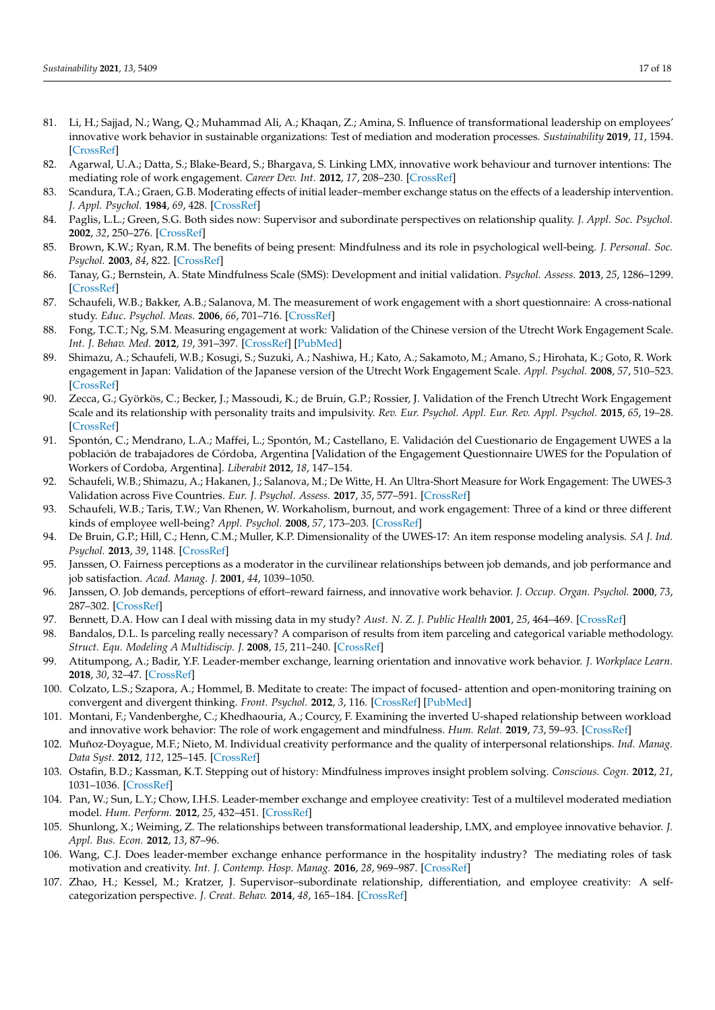- <span id="page-16-0"></span>81. Li, H.; Sajjad, N.; Wang, Q.; Muhammad Ali, A.; Khaqan, Z.; Amina, S. Influence of transformational leadership on employees' innovative work behavior in sustainable organizations: Test of mediation and moderation processes. *Sustainability* **2019**, *11*, 1594. [\[CrossRef\]](http://doi.org/10.3390/su11061594)
- <span id="page-16-1"></span>82. Agarwal, U.A.; Datta, S.; Blake-Beard, S.; Bhargava, S. Linking LMX, innovative work behaviour and turnover intentions: The mediating role of work engagement. *Career Dev. Int.* **2012**, *17*, 208–230. [\[CrossRef\]](http://doi.org/10.1108/13620431211241063)
- <span id="page-16-2"></span>83. Scandura, T.A.; Graen, G.B. Moderating effects of initial leader–member exchange status on the effects of a leadership intervention. *J. Appl. Psychol.* **1984**, *69*, 428. [\[CrossRef\]](http://doi.org/10.1037/0021-9010.69.3.428)
- <span id="page-16-3"></span>84. Paglis, L.L.; Green, S.G. Both sides now: Supervisor and subordinate perspectives on relationship quality. *J. Appl. Soc. Psychol.* **2002**, *32*, 250–276. [\[CrossRef\]](http://doi.org/10.1111/j.1559-1816.2002.tb00215.x)
- <span id="page-16-4"></span>85. Brown, K.W.; Ryan, R.M. The benefits of being present: Mindfulness and its role in psychological well-being. *J. Personal. Soc. Psychol.* **2003**, *84*, 822. [\[CrossRef\]](http://doi.org/10.1037/0022-3514.84.4.822)
- <span id="page-16-5"></span>86. Tanay, G.; Bernstein, A. State Mindfulness Scale (SMS): Development and initial validation. *Psychol. Assess.* **2013**, *25*, 1286–1299. [\[CrossRef\]](http://doi.org/10.1037/a0034044)
- <span id="page-16-6"></span>87. Schaufeli, W.B.; Bakker, A.B.; Salanova, M. The measurement of work engagement with a short questionnaire: A cross-national study. *Educ. Psychol. Meas.* **2006**, *66*, 701–716. [\[CrossRef\]](http://doi.org/10.1177/0013164405282471)
- <span id="page-16-7"></span>88. Fong, T.C.T.; Ng, S.M. Measuring engagement at work: Validation of the Chinese version of the Utrecht Work Engagement Scale. *Int. J. Behav. Med.* **2012**, *19*, 391–397. [\[CrossRef\]](http://doi.org/10.1007/s12529-011-9173-6) [\[PubMed\]](http://www.ncbi.nlm.nih.gov/pubmed/21681564)
- 89. Shimazu, A.; Schaufeli, W.B.; Kosugi, S.; Suzuki, A.; Nashiwa, H.; Kato, A.; Sakamoto, M.; Amano, S.; Hirohata, K.; Goto, R. Work engagement in Japan: Validation of the Japanese version of the Utrecht Work Engagement Scale. *Appl. Psychol.* **2008**, *57*, 510–523. [\[CrossRef\]](http://doi.org/10.1111/j.1464-0597.2008.00333.x)
- 90. Zecca, G.; Györkös, C.; Becker, J.; Massoudi, K.; de Bruin, G.P.; Rossier, J. Validation of the French Utrecht Work Engagement Scale and its relationship with personality traits and impulsivity. *Rev. Eur. Psychol. Appl. Eur. Rev. Appl. Psychol.* **2015**, *65*, 19–28. [\[CrossRef\]](http://doi.org/10.1016/j.erap.2014.10.003)
- <span id="page-16-10"></span>91. Spontón, C.; Mendrano, L.A.; Maffei, L.; Spontón, M.; Castellano, E. Validación del Cuestionario de Engagement UWES a la población de trabajadores de Córdoba, Argentina [Validation of the Engagement Questionnaire UWES for the Population of Workers of Cordoba, Argentina]. *Liberabit* **2012**, *18*, 147–154.
- <span id="page-16-8"></span>92. Schaufeli, W.B.; Shimazu, A.; Hakanen, J.; Salanova, M.; De Witte, H. An Ultra-Short Measure for Work Engagement: The UWES-3 Validation across Five Countries. *Eur. J. Psychol. Assess.* **2017**, *35*, 577–591. [\[CrossRef\]](http://doi.org/10.1027/1015-5759/a000430)
- <span id="page-16-9"></span>93. Schaufeli, W.B.; Taris, T.W.; Van Rhenen, W. Workaholism, burnout, and work engagement: Three of a kind or three different kinds of employee well-being? *Appl. Psychol.* **2008**, *57*, 173–203. [\[CrossRef\]](http://doi.org/10.1111/j.1464-0597.2007.00285.x)
- <span id="page-16-11"></span>94. De Bruin, G.P.; Hill, C.; Henn, C.M.; Muller, K.P. Dimensionality of the UWES-17: An item response modeling analysis. *SA J. Ind. Psychol.* **2013**, *39*, 1148. [\[CrossRef\]](http://doi.org/10.4102/sajip.v39i2.1148)
- <span id="page-16-12"></span>95. Janssen, O. Fairness perceptions as a moderator in the curvilinear relationships between job demands, and job performance and job satisfaction. *Acad. Manag. J.* **2001**, *44*, 1039–1050.
- <span id="page-16-13"></span>96. Janssen, O. Job demands, perceptions of effort–reward fairness, and innovative work behavior. *J. Occup. Organ. Psychol.* **2000**, *73*, 287–302. [\[CrossRef\]](http://doi.org/10.1348/096317900167038)
- <span id="page-16-14"></span>97. Bennett, D.A. How can I deal with missing data in my study? *Aust. N. Z. J. Public Health* **2001**, *25*, 464–469. [\[CrossRef\]](http://doi.org/10.1111/j.1467-842X.2001.tb00294.x)
- <span id="page-16-15"></span>98. Bandalos, D.L. Is parceling really necessary? A comparison of results from item parceling and categorical variable methodology. *Struct. Equ. Modeling A Multidiscip. J.* **2008**, *15*, 211–240. [\[CrossRef\]](http://doi.org/10.1080/10705510801922340)
- <span id="page-16-16"></span>99. Atitumpong, A.; Badir, Y.F. Leader-member exchange, learning orientation and innovative work behavior. *J. Workplace Learn.* **2018**, *30*, 32–47. [\[CrossRef\]](http://doi.org/10.1108/JWL-01-2017-0005)
- 100. Colzato, L.S.; Szapora, A.; Hommel, B. Meditate to create: The impact of focused- attention and open-monitoring training on convergent and divergent thinking. *Front. Psychol.* **2012**, *3*, 116. [\[CrossRef\]](http://doi.org/10.3389/fpsyg.2012.00116) [\[PubMed\]](http://www.ncbi.nlm.nih.gov/pubmed/22529832)
- <span id="page-16-18"></span>101. Montani, F.; Vandenberghe, C.; Khedhaouria, A.; Courcy, F. Examining the inverted U-shaped relationship between workload and innovative work behavior: The role of work engagement and mindfulness. *Hum. Relat.* **2019**, *73*, 59–93. [\[CrossRef\]](http://doi.org/10.1177/0018726718819055)
- 102. Muñoz-Doyague, M.F.; Nieto, M. Individual creativity performance and the quality of interpersonal relationships. *Ind. Manag. Data Syst.* **2012**, *112*, 125–145. [\[CrossRef\]](http://doi.org/10.1108/02635571211193671)
- 103. Ostafin, B.D.; Kassman, K.T. Stepping out of history: Mindfulness improves insight problem solving. *Conscious. Cogn.* **2012**, *21*, 1031–1036. [\[CrossRef\]](http://doi.org/10.1016/j.concog.2012.02.014)
- 104. Pan, W.; Sun, L.Y.; Chow, I.H.S. Leader-member exchange and employee creativity: Test of a multilevel moderated mediation model. *Hum. Perform.* **2012**, *25*, 432–451. [\[CrossRef\]](http://doi.org/10.1080/08959285.2012.721833)
- <span id="page-16-19"></span>105. Shunlong, X.; Weiming, Z. The relationships between transformational leadership, LMX, and employee innovative behavior. *J. Appl. Bus. Econ.* **2012**, *13*, 87–96.
- 106. Wang, C.J. Does leader-member exchange enhance performance in the hospitality industry? The mediating roles of task motivation and creativity. *Int. J. Contemp. Hosp. Manag.* **2016**, *28*, 969–987. [\[CrossRef\]](http://doi.org/10.1108/IJCHM-10-2014-0513)
- <span id="page-16-17"></span>107. Zhao, H.; Kessel, M.; Kratzer, J. Supervisor–subordinate relationship, differentiation, and employee creativity: A selfcategorization perspective. *J. Creat. Behav.* **2014**, *48*, 165–184. [\[CrossRef\]](http://doi.org/10.1002/jocb.46)